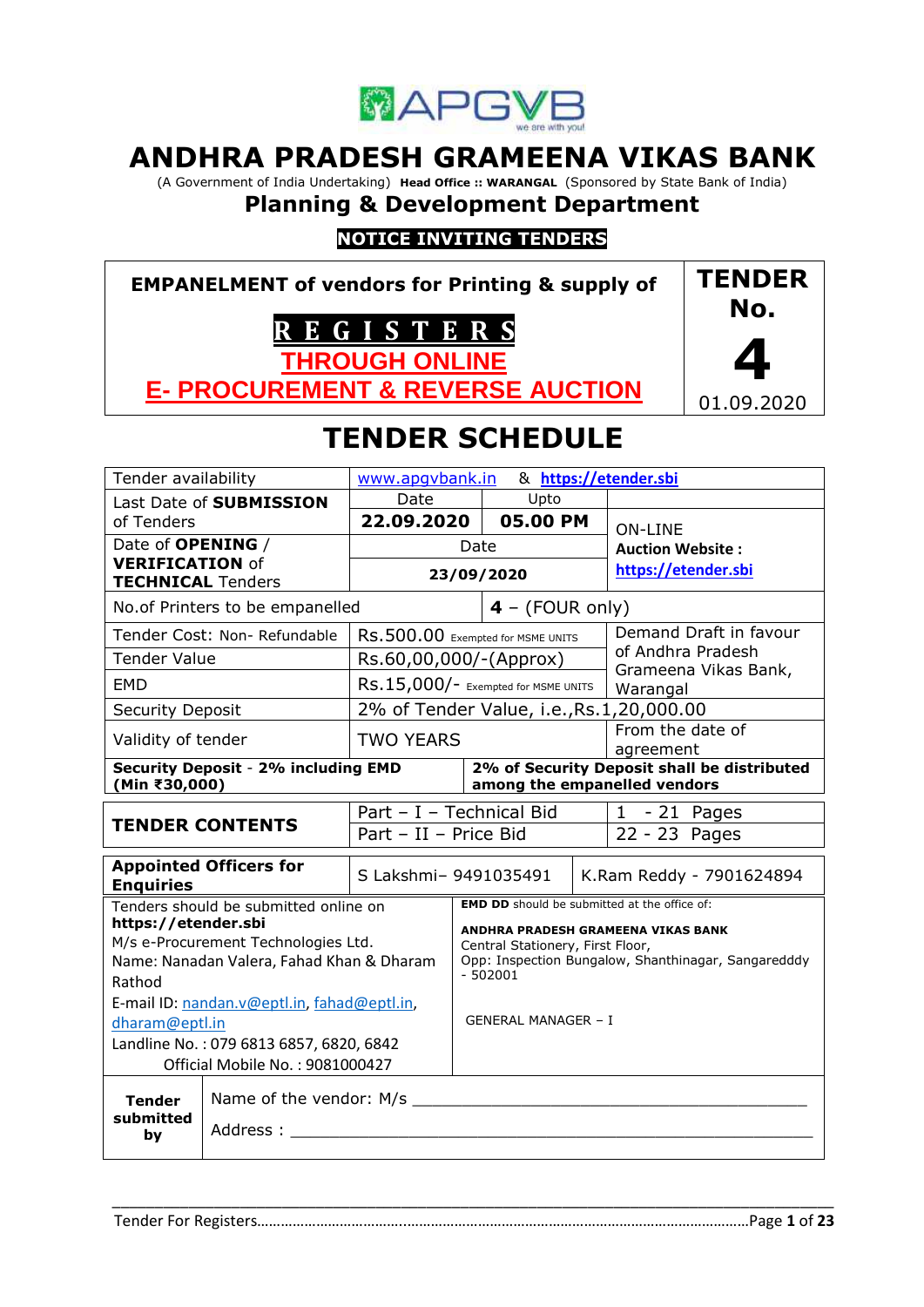

# **ANDHRA PRADESH GRAMEENA VIKAS BANK**

(A Government of India Undertaking) **Head Office :: WARANGAL** (Sponsored by State Bank of India)

# **Planning & Development Department**

## **NOTICE INVITING TENDERS**

**EMPANELMENT of vendors for Printing & supply of R E G I S T E R S THROUGH ONLINE E- PROCUREMENT & REVERSE AUCTION TENDER No. 4** 01.09.2020

# **TENDER SCHEDULE**

| Tender availability                                         |                                                                                  | & https://etender.sbi<br>www.apgvbank.in                                                |                                    |                               |                         |                                                                             |
|-------------------------------------------------------------|----------------------------------------------------------------------------------|-----------------------------------------------------------------------------------------|------------------------------------|-------------------------------|-------------------------|-----------------------------------------------------------------------------|
|                                                             | Last Date of SUBMISSION                                                          | Date                                                                                    |                                    | Upto                          |                         |                                                                             |
| of Tenders                                                  |                                                                                  | 22.09.2020                                                                              |                                    | 05.00 PM                      |                         | <b>ON-LINE</b>                                                              |
| Date of <b>OPENING</b> /                                    |                                                                                  | Date                                                                                    |                                    |                               | <b>Auction Website:</b> |                                                                             |
| <b>VERIFICATION of</b><br><b>TECHNICAL Tenders</b>          |                                                                                  | 23/09/2020                                                                              |                                    | https://etender.sbi           |                         |                                                                             |
| No. of Printers to be empanelled                            |                                                                                  |                                                                                         |                                    | $4 - (FOUR only)$             |                         |                                                                             |
|                                                             | Tender Cost: Non- Refundable                                                     | RS.500.00 Exempted for MSME UNITS                                                       |                                    | Demand Draft in favour        |                         |                                                                             |
| <b>Tender Value</b>                                         |                                                                                  | Rs.60,00,000/-(Approx)                                                                  |                                    |                               |                         | of Andhra Pradesh                                                           |
| <b>EMD</b>                                                  |                                                                                  | RS.15,000/- Exempted for MSME UNITS                                                     |                                    |                               |                         | Grameena Vikas Bank,<br>Warangal                                            |
| Security Deposit                                            |                                                                                  | 2% of Tender Value, i.e., Rs.1, 20,000.00                                               |                                    |                               |                         |                                                                             |
| Validity of tender                                          |                                                                                  | <b>TWO YEARS</b>                                                                        |                                    | From the date of<br>agreement |                         |                                                                             |
| <b>Security Deposit - 2% including EMD</b><br>(Min ₹30,000) |                                                                                  |                                                                                         |                                    |                               |                         | 2% of Security Deposit shall be distributed<br>among the empanelled vendors |
|                                                             |                                                                                  | Part - I - Technical Bid                                                                |                                    |                               |                         | $1 - 21$ Pages                                                              |
|                                                             | <b>TENDER CONTENTS</b>                                                           | Part - II - Price Bid                                                                   |                                    | 22 - 23 Pages                 |                         |                                                                             |
| <b>Appointed Officers for</b><br><b>Enquiries</b>           |                                                                                  | S Lakshmi- 9491035491                                                                   |                                    |                               |                         | K.Ram Reddy - 7901624894                                                    |
|                                                             | Tenders should be submitted online on                                            |                                                                                         |                                    |                               |                         | <b>EMD DD</b> should be submitted at the office of:                         |
| https://etender.sbi                                         |                                                                                  |                                                                                         | ANDHRA PRADESH GRAMEENA VIKAS BANK |                               |                         |                                                                             |
|                                                             | M/s e-Procurement Technologies Ltd.<br>Name: Nanadan Valera, Fahad Khan & Dharam | Central Stationery, First Floor,<br>Opp: Inspection Bungalow, Shanthinagar, Sangaredddy |                                    |                               |                         |                                                                             |
| Rathod                                                      |                                                                                  |                                                                                         | $-502001$                          |                               |                         |                                                                             |
|                                                             | E-mail ID: nandan.v@eptl.in, fahad@eptl.in,                                      |                                                                                         |                                    |                               |                         |                                                                             |
| dharam@eptl.in                                              |                                                                                  |                                                                                         |                                    | <b>GENERAL MANAGER - I</b>    |                         |                                                                             |
| Landline No.: 079 6813 6857, 6820, 6842                     |                                                                                  |                                                                                         |                                    |                               |                         |                                                                             |
| Official Mobile No.: 9081000427                             |                                                                                  |                                                                                         |                                    |                               |                         |                                                                             |
| <b>Tender</b>                                               |                                                                                  |                                                                                         |                                    |                               |                         |                                                                             |
| submitted<br>Address:<br>by                                 |                                                                                  |                                                                                         |                                    |                               |                         |                                                                             |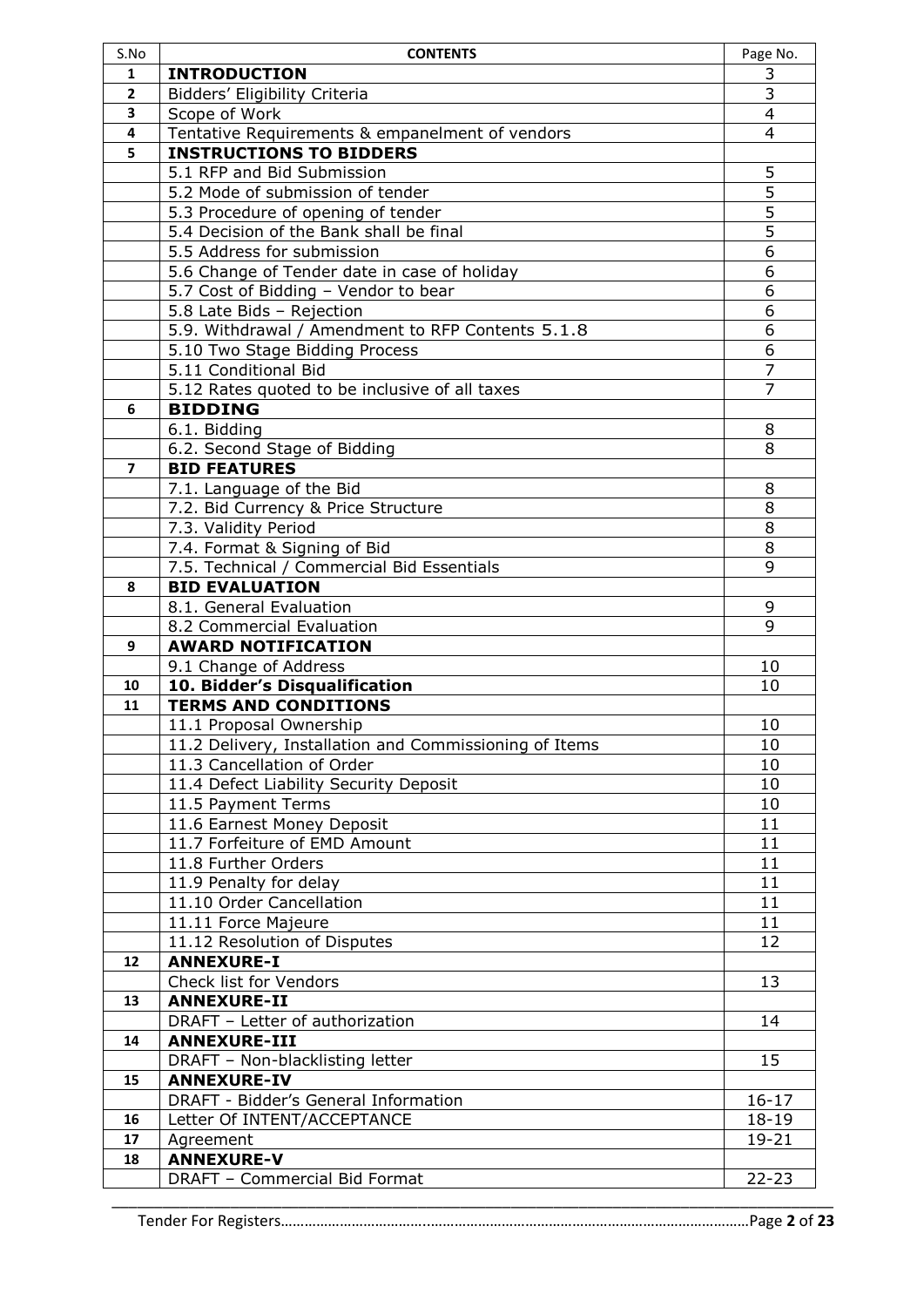| <b>INTRODUCTION</b>                             |                                                                                                                                                                                                                                                                                                                                                                                                                                                                                                                                                                                                                                                                                                                                                                                                                                                                                                                                                                                                                                                                                                                                                                                                                                                                                                                                                    |
|-------------------------------------------------|----------------------------------------------------------------------------------------------------------------------------------------------------------------------------------------------------------------------------------------------------------------------------------------------------------------------------------------------------------------------------------------------------------------------------------------------------------------------------------------------------------------------------------------------------------------------------------------------------------------------------------------------------------------------------------------------------------------------------------------------------------------------------------------------------------------------------------------------------------------------------------------------------------------------------------------------------------------------------------------------------------------------------------------------------------------------------------------------------------------------------------------------------------------------------------------------------------------------------------------------------------------------------------------------------------------------------------------------------|
|                                                 | 3                                                                                                                                                                                                                                                                                                                                                                                                                                                                                                                                                                                                                                                                                                                                                                                                                                                                                                                                                                                                                                                                                                                                                                                                                                                                                                                                                  |
| Bidders' Eligibility Criteria                   | 3                                                                                                                                                                                                                                                                                                                                                                                                                                                                                                                                                                                                                                                                                                                                                                                                                                                                                                                                                                                                                                                                                                                                                                                                                                                                                                                                                  |
| Scope of Work                                   | $\overline{4}$                                                                                                                                                                                                                                                                                                                                                                                                                                                                                                                                                                                                                                                                                                                                                                                                                                                                                                                                                                                                                                                                                                                                                                                                                                                                                                                                     |
| Tentative Requirements & empanelment of vendors | 4                                                                                                                                                                                                                                                                                                                                                                                                                                                                                                                                                                                                                                                                                                                                                                                                                                                                                                                                                                                                                                                                                                                                                                                                                                                                                                                                                  |
| <b>INSTRUCTIONS TO BIDDERS</b>                  |                                                                                                                                                                                                                                                                                                                                                                                                                                                                                                                                                                                                                                                                                                                                                                                                                                                                                                                                                                                                                                                                                                                                                                                                                                                                                                                                                    |
| 5.1 RFP and Bid Submission                      | 5                                                                                                                                                                                                                                                                                                                                                                                                                                                                                                                                                                                                                                                                                                                                                                                                                                                                                                                                                                                                                                                                                                                                                                                                                                                                                                                                                  |
| 5.2 Mode of submission of tender                | 5                                                                                                                                                                                                                                                                                                                                                                                                                                                                                                                                                                                                                                                                                                                                                                                                                                                                                                                                                                                                                                                                                                                                                                                                                                                                                                                                                  |
|                                                 | 5                                                                                                                                                                                                                                                                                                                                                                                                                                                                                                                                                                                                                                                                                                                                                                                                                                                                                                                                                                                                                                                                                                                                                                                                                                                                                                                                                  |
|                                                 | $\overline{5}$                                                                                                                                                                                                                                                                                                                                                                                                                                                                                                                                                                                                                                                                                                                                                                                                                                                                                                                                                                                                                                                                                                                                                                                                                                                                                                                                     |
|                                                 | $\overline{6}$                                                                                                                                                                                                                                                                                                                                                                                                                                                                                                                                                                                                                                                                                                                                                                                                                                                                                                                                                                                                                                                                                                                                                                                                                                                                                                                                     |
|                                                 | 6                                                                                                                                                                                                                                                                                                                                                                                                                                                                                                                                                                                                                                                                                                                                                                                                                                                                                                                                                                                                                                                                                                                                                                                                                                                                                                                                                  |
|                                                 | 6                                                                                                                                                                                                                                                                                                                                                                                                                                                                                                                                                                                                                                                                                                                                                                                                                                                                                                                                                                                                                                                                                                                                                                                                                                                                                                                                                  |
|                                                 | 6                                                                                                                                                                                                                                                                                                                                                                                                                                                                                                                                                                                                                                                                                                                                                                                                                                                                                                                                                                                                                                                                                                                                                                                                                                                                                                                                                  |
|                                                 | 6                                                                                                                                                                                                                                                                                                                                                                                                                                                                                                                                                                                                                                                                                                                                                                                                                                                                                                                                                                                                                                                                                                                                                                                                                                                                                                                                                  |
|                                                 | 6                                                                                                                                                                                                                                                                                                                                                                                                                                                                                                                                                                                                                                                                                                                                                                                                                                                                                                                                                                                                                                                                                                                                                                                                                                                                                                                                                  |
|                                                 | $\overline{7}$                                                                                                                                                                                                                                                                                                                                                                                                                                                                                                                                                                                                                                                                                                                                                                                                                                                                                                                                                                                                                                                                                                                                                                                                                                                                                                                                     |
|                                                 | $\overline{7}$                                                                                                                                                                                                                                                                                                                                                                                                                                                                                                                                                                                                                                                                                                                                                                                                                                                                                                                                                                                                                                                                                                                                                                                                                                                                                                                                     |
|                                                 |                                                                                                                                                                                                                                                                                                                                                                                                                                                                                                                                                                                                                                                                                                                                                                                                                                                                                                                                                                                                                                                                                                                                                                                                                                                                                                                                                    |
|                                                 | 8                                                                                                                                                                                                                                                                                                                                                                                                                                                                                                                                                                                                                                                                                                                                                                                                                                                                                                                                                                                                                                                                                                                                                                                                                                                                                                                                                  |
|                                                 | 8                                                                                                                                                                                                                                                                                                                                                                                                                                                                                                                                                                                                                                                                                                                                                                                                                                                                                                                                                                                                                                                                                                                                                                                                                                                                                                                                                  |
|                                                 |                                                                                                                                                                                                                                                                                                                                                                                                                                                                                                                                                                                                                                                                                                                                                                                                                                                                                                                                                                                                                                                                                                                                                                                                                                                                                                                                                    |
|                                                 | 8                                                                                                                                                                                                                                                                                                                                                                                                                                                                                                                                                                                                                                                                                                                                                                                                                                                                                                                                                                                                                                                                                                                                                                                                                                                                                                                                                  |
|                                                 | 8                                                                                                                                                                                                                                                                                                                                                                                                                                                                                                                                                                                                                                                                                                                                                                                                                                                                                                                                                                                                                                                                                                                                                                                                                                                                                                                                                  |
|                                                 | 8                                                                                                                                                                                                                                                                                                                                                                                                                                                                                                                                                                                                                                                                                                                                                                                                                                                                                                                                                                                                                                                                                                                                                                                                                                                                                                                                                  |
|                                                 | 8                                                                                                                                                                                                                                                                                                                                                                                                                                                                                                                                                                                                                                                                                                                                                                                                                                                                                                                                                                                                                                                                                                                                                                                                                                                                                                                                                  |
|                                                 | 9                                                                                                                                                                                                                                                                                                                                                                                                                                                                                                                                                                                                                                                                                                                                                                                                                                                                                                                                                                                                                                                                                                                                                                                                                                                                                                                                                  |
|                                                 |                                                                                                                                                                                                                                                                                                                                                                                                                                                                                                                                                                                                                                                                                                                                                                                                                                                                                                                                                                                                                                                                                                                                                                                                                                                                                                                                                    |
|                                                 |                                                                                                                                                                                                                                                                                                                                                                                                                                                                                                                                                                                                                                                                                                                                                                                                                                                                                                                                                                                                                                                                                                                                                                                                                                                                                                                                                    |
|                                                 | 9                                                                                                                                                                                                                                                                                                                                                                                                                                                                                                                                                                                                                                                                                                                                                                                                                                                                                                                                                                                                                                                                                                                                                                                                                                                                                                                                                  |
|                                                 | 9                                                                                                                                                                                                                                                                                                                                                                                                                                                                                                                                                                                                                                                                                                                                                                                                                                                                                                                                                                                                                                                                                                                                                                                                                                                                                                                                                  |
|                                                 |                                                                                                                                                                                                                                                                                                                                                                                                                                                                                                                                                                                                                                                                                                                                                                                                                                                                                                                                                                                                                                                                                                                                                                                                                                                                                                                                                    |
|                                                 | 10                                                                                                                                                                                                                                                                                                                                                                                                                                                                                                                                                                                                                                                                                                                                                                                                                                                                                                                                                                                                                                                                                                                                                                                                                                                                                                                                                 |
|                                                 | 10                                                                                                                                                                                                                                                                                                                                                                                                                                                                                                                                                                                                                                                                                                                                                                                                                                                                                                                                                                                                                                                                                                                                                                                                                                                                                                                                                 |
|                                                 |                                                                                                                                                                                                                                                                                                                                                                                                                                                                                                                                                                                                                                                                                                                                                                                                                                                                                                                                                                                                                                                                                                                                                                                                                                                                                                                                                    |
|                                                 | 10                                                                                                                                                                                                                                                                                                                                                                                                                                                                                                                                                                                                                                                                                                                                                                                                                                                                                                                                                                                                                                                                                                                                                                                                                                                                                                                                                 |
|                                                 | 10                                                                                                                                                                                                                                                                                                                                                                                                                                                                                                                                                                                                                                                                                                                                                                                                                                                                                                                                                                                                                                                                                                                                                                                                                                                                                                                                                 |
|                                                 | 10                                                                                                                                                                                                                                                                                                                                                                                                                                                                                                                                                                                                                                                                                                                                                                                                                                                                                                                                                                                                                                                                                                                                                                                                                                                                                                                                                 |
|                                                 | 10                                                                                                                                                                                                                                                                                                                                                                                                                                                                                                                                                                                                                                                                                                                                                                                                                                                                                                                                                                                                                                                                                                                                                                                                                                                                                                                                                 |
|                                                 | 10                                                                                                                                                                                                                                                                                                                                                                                                                                                                                                                                                                                                                                                                                                                                                                                                                                                                                                                                                                                                                                                                                                                                                                                                                                                                                                                                                 |
|                                                 | 11                                                                                                                                                                                                                                                                                                                                                                                                                                                                                                                                                                                                                                                                                                                                                                                                                                                                                                                                                                                                                                                                                                                                                                                                                                                                                                                                                 |
|                                                 | 11                                                                                                                                                                                                                                                                                                                                                                                                                                                                                                                                                                                                                                                                                                                                                                                                                                                                                                                                                                                                                                                                                                                                                                                                                                                                                                                                                 |
|                                                 | 11                                                                                                                                                                                                                                                                                                                                                                                                                                                                                                                                                                                                                                                                                                                                                                                                                                                                                                                                                                                                                                                                                                                                                                                                                                                                                                                                                 |
|                                                 | 11                                                                                                                                                                                                                                                                                                                                                                                                                                                                                                                                                                                                                                                                                                                                                                                                                                                                                                                                                                                                                                                                                                                                                                                                                                                                                                                                                 |
|                                                 | 11                                                                                                                                                                                                                                                                                                                                                                                                                                                                                                                                                                                                                                                                                                                                                                                                                                                                                                                                                                                                                                                                                                                                                                                                                                                                                                                                                 |
|                                                 | 11                                                                                                                                                                                                                                                                                                                                                                                                                                                                                                                                                                                                                                                                                                                                                                                                                                                                                                                                                                                                                                                                                                                                                                                                                                                                                                                                                 |
|                                                 | 12                                                                                                                                                                                                                                                                                                                                                                                                                                                                                                                                                                                                                                                                                                                                                                                                                                                                                                                                                                                                                                                                                                                                                                                                                                                                                                                                                 |
|                                                 |                                                                                                                                                                                                                                                                                                                                                                                                                                                                                                                                                                                                                                                                                                                                                                                                                                                                                                                                                                                                                                                                                                                                                                                                                                                                                                                                                    |
|                                                 | 13                                                                                                                                                                                                                                                                                                                                                                                                                                                                                                                                                                                                                                                                                                                                                                                                                                                                                                                                                                                                                                                                                                                                                                                                                                                                                                                                                 |
| <b>ANNEXURE-II</b>                              |                                                                                                                                                                                                                                                                                                                                                                                                                                                                                                                                                                                                                                                                                                                                                                                                                                                                                                                                                                                                                                                                                                                                                                                                                                                                                                                                                    |
|                                                 | 14                                                                                                                                                                                                                                                                                                                                                                                                                                                                                                                                                                                                                                                                                                                                                                                                                                                                                                                                                                                                                                                                                                                                                                                                                                                                                                                                                 |
| <b>ANNEXURE-III</b>                             |                                                                                                                                                                                                                                                                                                                                                                                                                                                                                                                                                                                                                                                                                                                                                                                                                                                                                                                                                                                                                                                                                                                                                                                                                                                                                                                                                    |
| DRAFT - Non-blacklisting letter                 | 15                                                                                                                                                                                                                                                                                                                                                                                                                                                                                                                                                                                                                                                                                                                                                                                                                                                                                                                                                                                                                                                                                                                                                                                                                                                                                                                                                 |
| <b>ANNEXURE-IV</b>                              |                                                                                                                                                                                                                                                                                                                                                                                                                                                                                                                                                                                                                                                                                                                                                                                                                                                                                                                                                                                                                                                                                                                                                                                                                                                                                                                                                    |
| DRAFT - Bidder's General Information            | $16 - 17$                                                                                                                                                                                                                                                                                                                                                                                                                                                                                                                                                                                                                                                                                                                                                                                                                                                                                                                                                                                                                                                                                                                                                                                                                                                                                                                                          |
| Letter Of INTENT/ACCEPTANCE                     | $18 - 19$                                                                                                                                                                                                                                                                                                                                                                                                                                                                                                                                                                                                                                                                                                                                                                                                                                                                                                                                                                                                                                                                                                                                                                                                                                                                                                                                          |
|                                                 | 19-21                                                                                                                                                                                                                                                                                                                                                                                                                                                                                                                                                                                                                                                                                                                                                                                                                                                                                                                                                                                                                                                                                                                                                                                                                                                                                                                                              |
| Agreement                                       |                                                                                                                                                                                                                                                                                                                                                                                                                                                                                                                                                                                                                                                                                                                                                                                                                                                                                                                                                                                                                                                                                                                                                                                                                                                                                                                                                    |
| <b>ANNEXURE-V</b>                               |                                                                                                                                                                                                                                                                                                                                                                                                                                                                                                                                                                                                                                                                                                                                                                                                                                                                                                                                                                                                                                                                                                                                                                                                                                                                                                                                                    |
|                                                 | 5.3 Procedure of opening of tender<br>5.4 Decision of the Bank shall be final<br>5.5 Address for submission<br>5.6 Change of Tender date in case of holiday<br>5.7 Cost of Bidding - Vendor to bear<br>5.8 Late Bids - Rejection<br>5.9. Withdrawal / Amendment to RFP Contents 5.1.8<br>5.10 Two Stage Bidding Process<br>5.11 Conditional Bid<br>5.12 Rates quoted to be inclusive of all taxes<br><b>BIDDING</b><br>6.1. Bidding<br>6.2. Second Stage of Bidding<br><b>BID FEATURES</b><br>7.1. Language of the Bid<br>7.2. Bid Currency & Price Structure<br>7.3. Validity Period<br>7.4. Format & Signing of Bid<br>7.5. Technical / Commercial Bid Essentials<br><b>BID EVALUATION</b><br>8.1. General Evaluation<br>8.2 Commercial Evaluation<br><b>AWARD NOTIFICATION</b><br>9.1 Change of Address<br>10. Bidder's Disqualification<br><b>TERMS AND CONDITIONS</b><br>11.1 Proposal Ownership<br>11.2 Delivery, Installation and Commissioning of Items<br>11.3 Cancellation of Order<br>11.4 Defect Liability Security Deposit<br>11.5 Payment Terms<br>11.6 Earnest Money Deposit<br>11.7 Forfeiture of EMD Amount<br>11.8 Further Orders<br>11.9 Penalty for delay<br>11.10 Order Cancellation<br>11.11 Force Majeure<br>11.12 Resolution of Disputes<br><b>ANNEXURE-I</b><br>Check list for Vendors<br>DRAFT - Letter of authorization |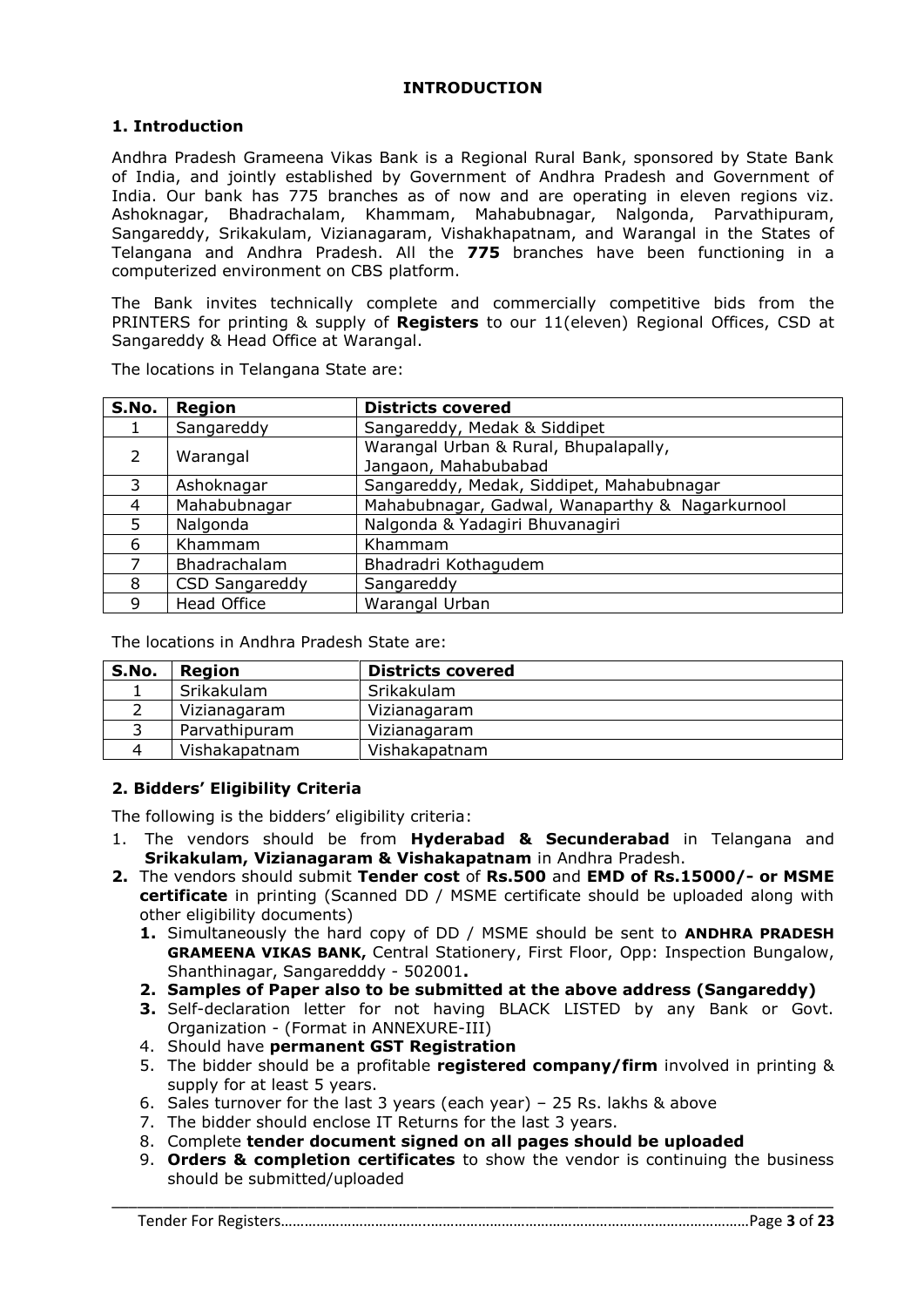#### **INTRODUCTION**

#### **1. Introduction**

Andhra Pradesh Grameena Vikas Bank is a Regional Rural Bank, sponsored by State Bank of India, and jointly established by Government of Andhra Pradesh and Government of India. Our bank has 775 branches as of now and are operating in eleven regions viz. Ashoknagar, Bhadrachalam, Khammam, Mahabubnagar, Nalgonda, Parvathipuram, Sangareddy, Srikakulam, Vizianagaram, Vishakhapatnam, and Warangal in the States of Telangana and Andhra Pradesh. All the **775** branches have been functioning in a computerized environment on CBS platform.

The Bank invites technically complete and commercially competitive bids from the PRINTERS for printing & supply of **Registers** to our 11(eleven) Regional Offices, CSD at Sangareddy & Head Office at Warangal.

| S.No.          | Region                | <b>Districts covered</b>                        |  |
|----------------|-----------------------|-------------------------------------------------|--|
|                | Sangareddy            | Sangareddy, Medak & Siddipet                    |  |
| $\mathcal{L}$  | Warangal              | Warangal Urban & Rural, Bhupalapally,           |  |
|                |                       | Jangaon, Mahabubabad                            |  |
| 3              | Ashoknagar            | Sangareddy, Medak, Siddipet, Mahabubnagar       |  |
| $\overline{4}$ | Mahabubnagar          | Mahabubnagar, Gadwal, Wanaparthy & Nagarkurnool |  |
| 5              | Nalgonda              | Nalgonda & Yadagiri Bhuvanagiri                 |  |
| 6              | Khammam               | Khammam                                         |  |
|                | Bhadrachalam          | Bhadradri Kothagudem                            |  |
| 8              | <b>CSD Sangareddy</b> | Sangareddy                                      |  |
| 9              | <b>Head Office</b>    | Warangal Urban                                  |  |

The locations in Telangana State are:

The locations in Andhra Pradesh State are:

| S.No. | Region        | <b>Districts covered</b> |
|-------|---------------|--------------------------|
|       | Srikakulam    | Srikakulam               |
|       | Vizianagaram  | Vizianagaram             |
|       | Parvathipuram | Vizianagaram             |
|       | Vishakapatnam | Vishakapatnam            |

#### **2. Bidders' Eligibility Criteria**

The following is the bidders' eligibility criteria:

- 1. The vendors should be from **Hyderabad & Secunderabad** in Telangana and **Srikakulam, Vizianagaram & Vishakapatnam** in Andhra Pradesh.
- **2.** The vendors should submit **Tender cost** of **Rs.500** and **EMD of Rs.15000/- or MSME certificate** in printing (Scanned DD / MSME certificate should be uploaded along with other eligibility documents)
	- **1.** Simultaneously the hard copy of DD / MSME should be sent to **ANDHRA PRADESH GRAMEENA VIKAS BANK,** Central Stationery, First Floor, Opp: Inspection Bungalow, Shanthinagar, Sangaredddy - 502001**.**
	- **2. Samples of Paper also to be submitted at the above address (Sangareddy)**
	- **3.** Self-declaration letter for not having BLACK LISTED by any Bank or Govt. Organization - (Format in ANNEXURE-III)
	- 4. Should have **permanent GST Registration**
	- 5. The bidder should be a profitable **registered company/firm** involved in printing & supply for at least 5 years.
	- 6. Sales turnover for the last 3 years (each year) 25 Rs. lakhs & above
	- 7. The bidder should enclose IT Returns for the last 3 years.
	- 8. Complete **tender document signed on all pages should be uploaded**
	- 9. **Orders & completion certificates** to show the vendor is continuing the business should be submitted/uploaded

#### Tender For Registers………………………………..………………………………………………………………………Page **3** of **23**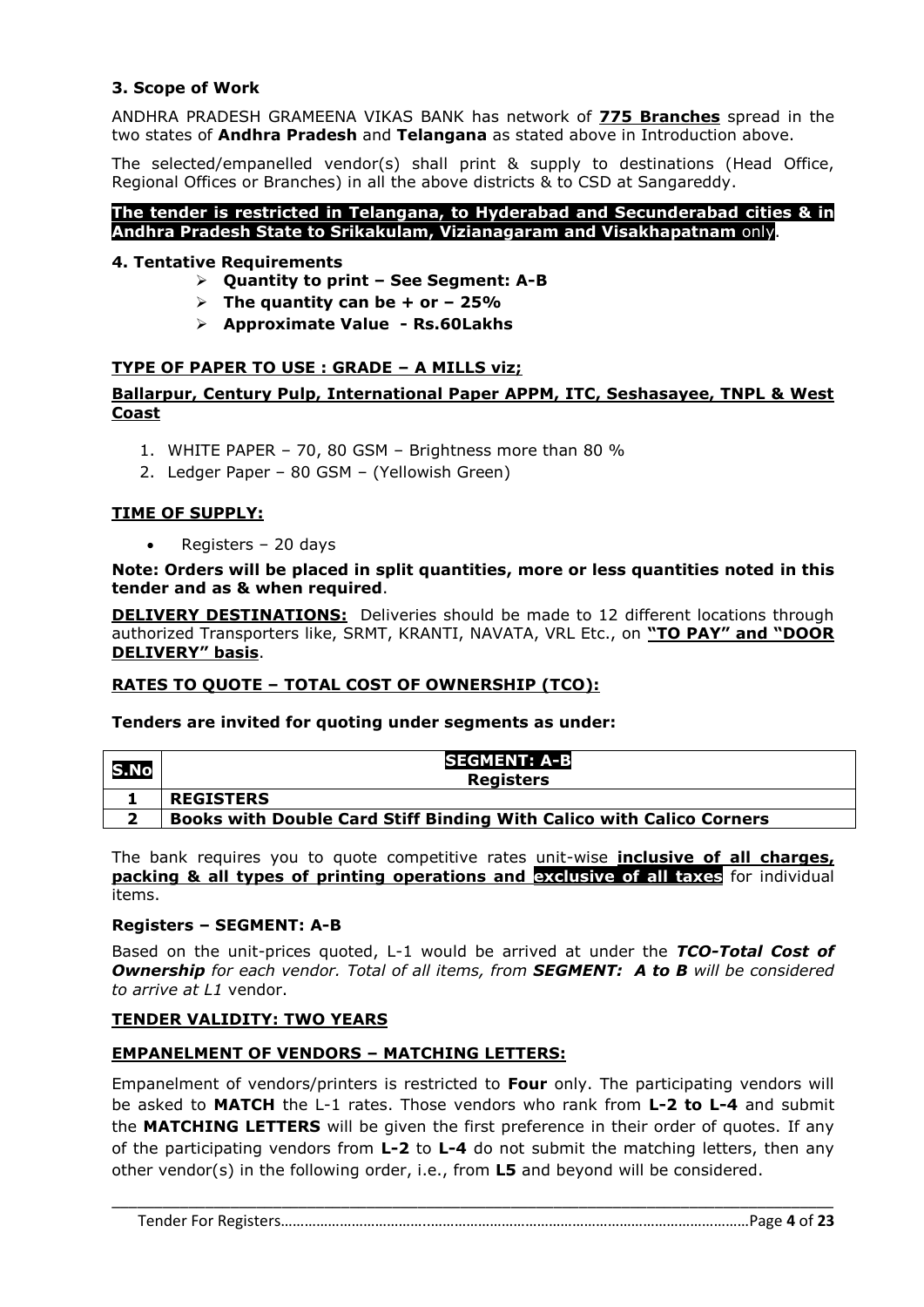#### **3. Scope of Work**

ANDHRA PRADESH GRAMEENA VIKAS BANK has network of **775 Branches** spread in the two states of **Andhra Pradesh** and **Telangana** as stated above in Introduction above.

The selected/empanelled vendor(s) shall print & supply to destinations (Head Office, Regional Offices or Branches) in all the above districts & to CSD at Sangareddy.

#### **The tender is restricted in Telangana, to Hyderabad and Secunderabad cities & in Andhra Pradesh State to Srikakulam, Vizianagaram and Visakhapatnam** only.

#### **4. Tentative Requirements**

- **Quantity to print – See Segment: A-B**
- $\triangleright$  The quantity can be + or 25%
- **Approximate Value - Rs.60Lakhs**

#### **TYPE OF PAPER TO USE : GRADE – A MILLS viz;**

#### **Ballarpur, Century Pulp, International Paper APPM, ITC, Seshasayee, TNPL & West Coast**

- 1. WHITE PAPER 70, 80 GSM Brightness more than 80 %
- 2. Ledger Paper 80 GSM (Yellowish Green)

#### **TIME OF SUPPLY:**

Registers – 20 days

#### **Note: Orders will be placed in split quantities, more or less quantities noted in this tender and as & when required**.

**DELIVERY DESTINATIONS:** Deliveries should be made to 12 different locations through authorized Transporters like, SRMT, KRANTI, NAVATA, VRL Etc., on **"TO PAY" and "DOOR DELIVERY" basis**.

#### **RATES TO QUOTE – TOTAL COST OF OWNERSHIP (TCO):**

#### **Tenders are invited for quoting under segments as under:**

| S.No | <b>SEGMENT: A-B</b><br><b>Registers</b>                              |
|------|----------------------------------------------------------------------|
|      | <b>REGISTERS</b>                                                     |
| ∍    | Books with Double Card Stiff Binding With Calico with Calico Corners |

The bank requires you to quote competitive rates unit-wise **inclusive of all charges, packing & all types of printing operations and exclusive of all taxes** for individual items.

#### **Registers – SEGMENT: A-B**

Based on the unit-prices quoted, L-1 would be arrived at under the *TCO-Total Cost of Ownership for each vendor. Total of all items, from SEGMENT: A to B will be considered to arrive at L1* vendor.

#### **TENDER VALIDITY: TWO YEARS**

#### **EMPANELMENT OF VENDORS – MATCHING LETTERS:**

Empanelment of vendors/printers is restricted to **Four** only. The participating vendors will be asked to **MATCH** the L-1 rates. Those vendors who rank from **L-2 to L-4** and submit the **MATCHING LETTERS** will be given the first preference in their order of quotes. If any of the participating vendors from **L-2** to **L-4** do not submit the matching letters, then any other vendor(s) in the following order, i.e., from **L5** and beyond will be considered.

Tender For Registers………………………………..………………………………………………………………………Page **4** of **23**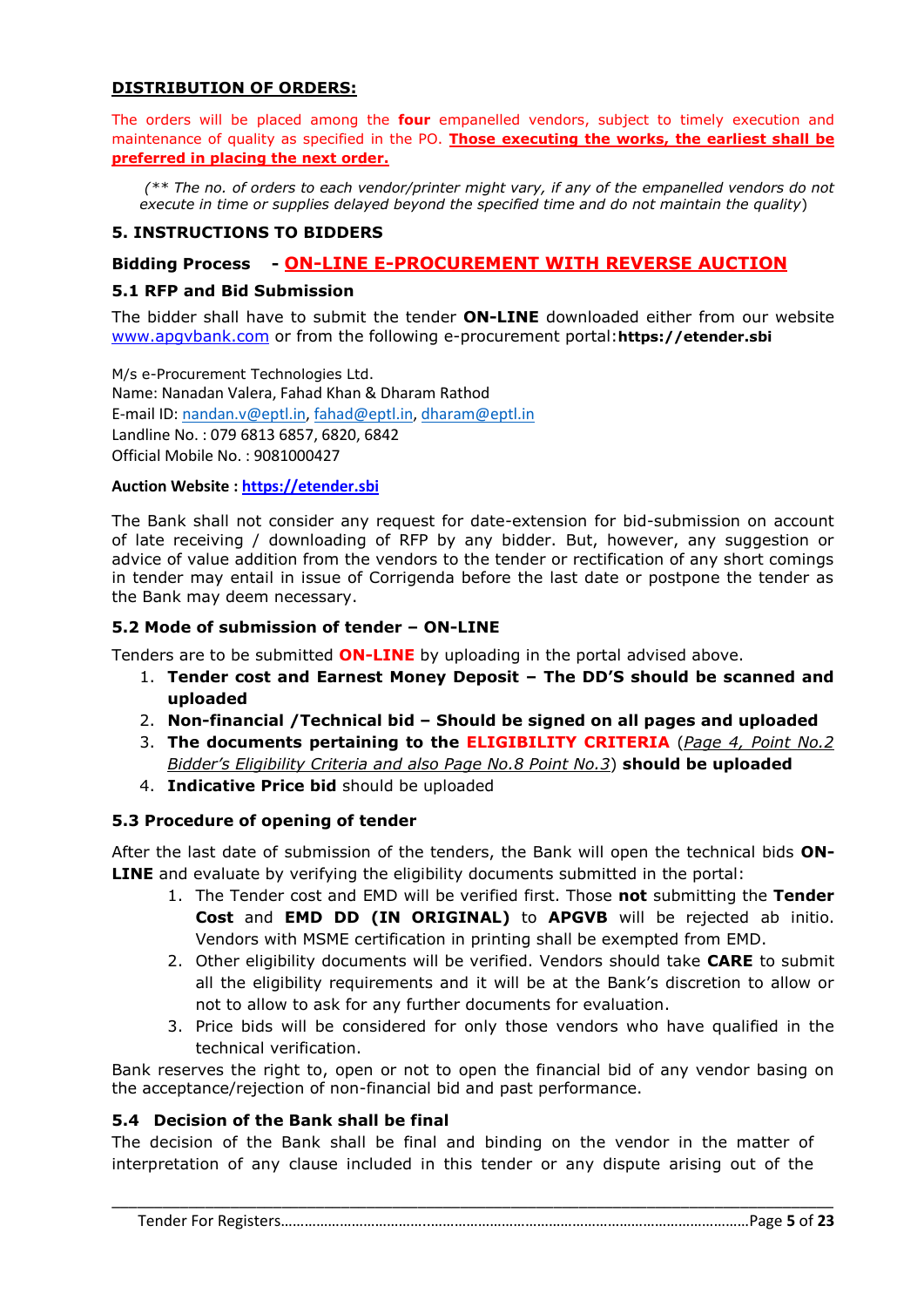#### **DISTRIBUTION OF ORDERS:**

The orders will be placed among the **four** empanelled vendors, subject to timely execution and maintenance of quality as specified in the PO. **Those executing the works, the earliest shall be preferred in placing the next order.**

*(\*\* The no. of orders to each vendor/printer might vary, if any of the empanelled vendors do not execute in time or supplies delayed beyond the specified time and do not maintain the quality*)

#### **5. INSTRUCTIONS TO BIDDERS**

#### **Bidding Process - ON-LINE E-PROCUREMENT WITH REVERSE AUCTION**

#### **5.1 RFP and Bid Submission**

The bidder shall have to submit the tender **ON-LINE** downloaded either from our website [www.apgvbank.com](http://www.apgvbank.com/) or from the following e-procurement portal:**https://etender.sbi**

M/s e-Procurement Technologies Ltd. Name: Nanadan Valera, Fahad Khan & Dharam Rathod E-mail ID: [nandan.v@eptl.in,](mailto:nandan.v@eptl.in) [fahad@eptl.in,](mailto:fahad@eptl.in) [dharam@eptl.in](mailto:dharam@eptl.in) Landline No. : 079 6813 6857, 6820, 6842 Official Mobile No. : 9081000427

#### **Auction Website : [https://etender.sbi](https://etender.sbi/)**

The Bank shall not consider any request for date-extension for bid-submission on account of late receiving / downloading of RFP by any bidder. But, however, any suggestion or advice of value addition from the vendors to the tender or rectification of any short comings in tender may entail in issue of Corrigenda before the last date or postpone the tender as the Bank may deem necessary.

#### **5.2 Mode of submission of tender – ON-LINE**

Tenders are to be submitted **ON-LINE** by uploading in the portal advised above.

- 1. **Tender cost and Earnest Money Deposit – The DD'S should be scanned and uploaded**
- 2. **Non-financial /Technical bid – Should be signed on all pages and uploaded**
- 3. **The documents pertaining to the ELIGIBILITY CRITERIA** (*Page 4, Point No.2 Bidder's Eligibility Criteria and also Page No.8 Point No.3*) **should be uploaded**
- 4. **Indicative Price bid** should be uploaded

#### **5.3 Procedure of opening of tender**

After the last date of submission of the tenders, the Bank will open the technical bids **ON-LINE** and evaluate by verifying the eligibility documents submitted in the portal:

- 1. The Tender cost and EMD will be verified first. Those **not** submitting the **Tender Cost** and **EMD DD (IN ORIGINAL)** to **APGVB** will be rejected ab initio. Vendors with MSME certification in printing shall be exempted from EMD.
- 2. Other eligibility documents will be verified. Vendors should take **CARE** to submit all the eligibility requirements and it will be at the Bank's discretion to allow or not to allow to ask for any further documents for evaluation.
- 3. Price bids will be considered for only those vendors who have qualified in the technical verification.

Bank reserves the right to, open or not to open the financial bid of any vendor basing on the acceptance/rejection of non-financial bid and past performance.

#### **5.4 Decision of the Bank shall be final**

The decision of the Bank shall be final and binding on the vendor in the matter of interpretation of any clause included in this tender or any dispute arising out of the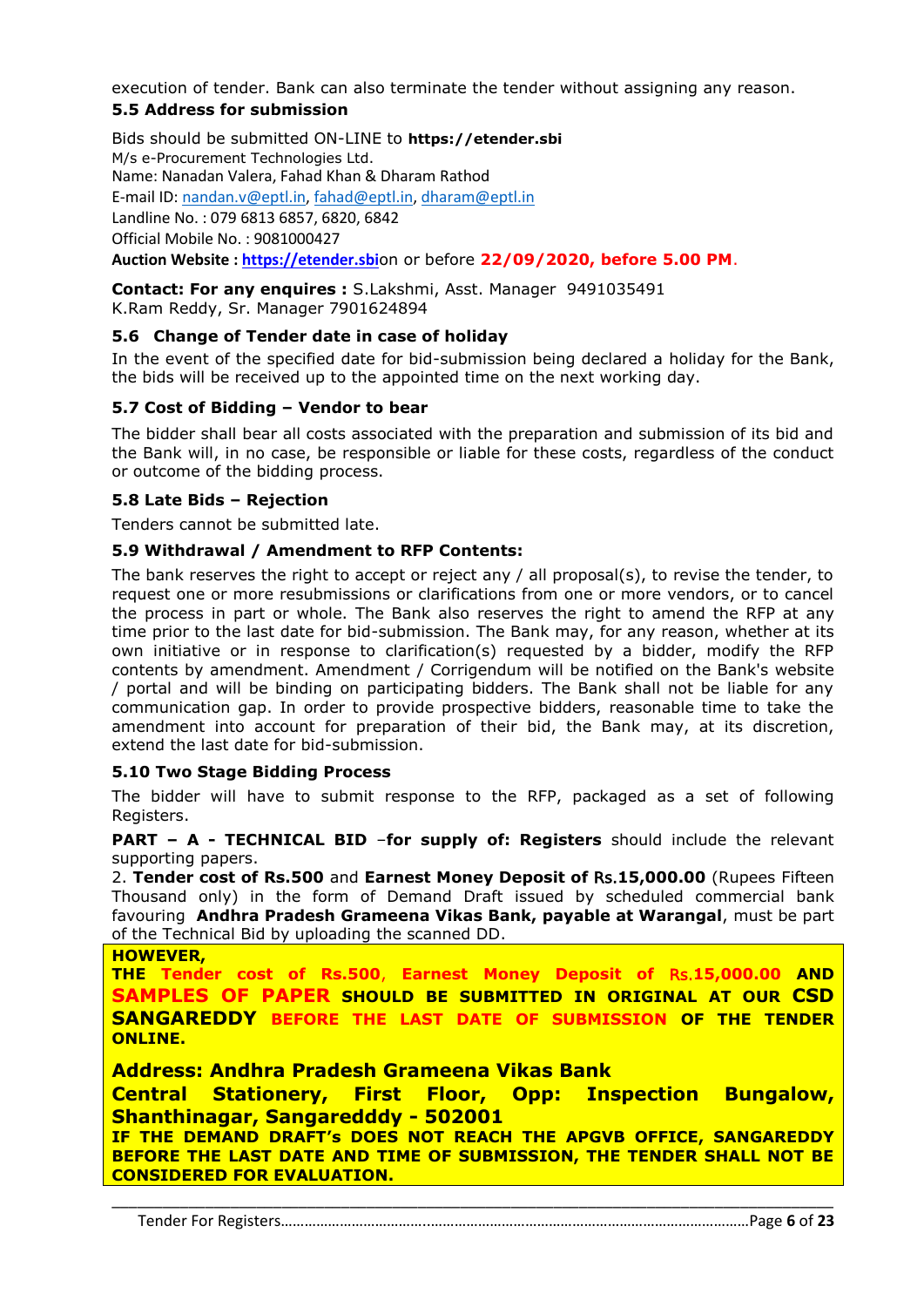execution of tender. Bank can also terminate the tender without assigning any reason. **5.5 Address for submission**

Bids should be submitted ON-LINE to **https://etender.sbi** M/s e-Procurement Technologies Ltd. Name: Nanadan Valera, Fahad Khan & Dharam Rathod E-mail ID: [nandan.v@eptl.in,](mailto:nandan.v@eptl.in) [fahad@eptl.in,](mailto:fahad@eptl.in) [dharam@eptl.in](mailto:dharam@eptl.in) Landline No. : 079 6813 6857, 6820, 6842 Official Mobile No. : 9081000427 **Auction Website : [https://etender.sbi](https://etender.sbi/)**on or before **22/09/2020, before 5.00 PM**.

**Contact: For any enquires :** S.Lakshmi, Asst. Manager 9491035491 K.Ram Reddy, Sr. Manager 7901624894

#### **5.6 Change of Tender date in case of holiday**

In the event of the specified date for bid-submission being declared a holiday for the Bank, the bids will be received up to the appointed time on the next working day.

#### **5.7 Cost of Bidding – Vendor to bear**

The bidder shall bear all costs associated with the preparation and submission of its bid and the Bank will, in no case, be responsible or liable for these costs, regardless of the conduct or outcome of the bidding process.

#### **5.8 Late Bids – Rejection**

Tenders cannot be submitted late.

#### **5.9 Withdrawal / Amendment to RFP Contents:**

The bank reserves the right to accept or reject any / all proposal(s), to revise the tender, to request one or more resubmissions or clarifications from one or more vendors, or to cancel the process in part or whole. The Bank also reserves the right to amend the RFP at any time prior to the last date for bid-submission. The Bank may, for any reason, whether at its own initiative or in response to clarification(s) requested by a bidder, modify the RFP contents by amendment. Amendment / Corrigendum will be notified on the Bank's website / portal and will be binding on participating bidders. The Bank shall not be liable for any communication gap. In order to provide prospective bidders, reasonable time to take the amendment into account for preparation of their bid, the Bank may, at its discretion, extend the last date for bid-submission.

#### **5.10 Two Stage Bidding Process**

The bidder will have to submit response to the RFP, packaged as a set of following Registers.

**PART – A - TECHNICAL BID** –**for supply of: Registers** should include the relevant supporting papers.

2. **Tender cost of Rs.500** and **Earnest Money Deposit of** Rs.**15,000.00** (Rupees Fifteen Thousand only) in the form of Demand Draft issued by scheduled commercial bank favouring **Andhra Pradesh Grameena Vikas Bank, payable at Warangal**, must be part of the Technical Bid by uploading the scanned DD.

**HOWEVER, THE Tender cost of Rs.500**, **Earnest Money Deposit of** Rs.**15,000.00 AND SAMPLES OF PAPER SHOULD BE SUBMITTED IN ORIGINAL AT OUR CSD SANGAREDDY BEFORE THE LAST DATE OF SUBMISSION OF THE TENDER ONLINE. Address: Andhra Pradesh Grameena Vikas Bank**

**Central Stationery, First Floor, Opp: Inspection Bungalow, Shanthinagar, Sangaredddy - 502001**

**IF THE DEMAND DRAFT's DOES NOT REACH THE APGVB OFFICE, SANGAREDDY BEFORE THE LAST DATE AND TIME OF SUBMISSION, THE TENDER SHALL NOT BE CONSIDERED FOR EVALUATION.**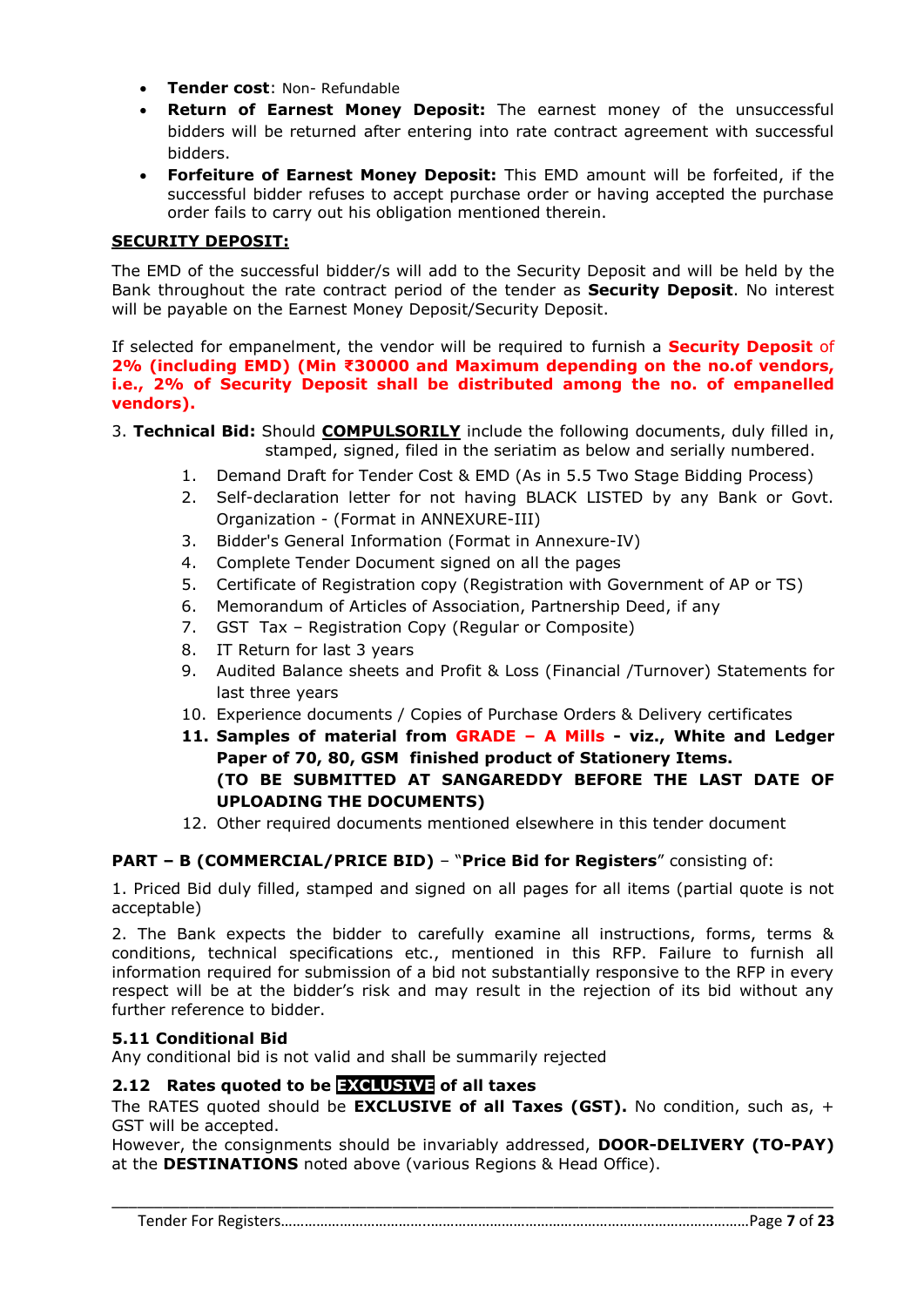- **Tender cost**: Non- Refundable
- **Return of Earnest Money Deposit:** The earnest money of the unsuccessful bidders will be returned after entering into rate contract agreement with successful bidders.
- **Forfeiture of Earnest Money Deposit:** This EMD amount will be forfeited, if the successful bidder refuses to accept purchase order or having accepted the purchase order fails to carry out his obligation mentioned therein.

#### **SECURITY DEPOSIT:**

The EMD of the successful bidder/s will add to the Security Deposit and will be held by the Bank throughout the rate contract period of the tender as **Security Deposit**. No interest will be payable on the Earnest Money Deposit/Security Deposit.

If selected for empanelment, the vendor will be required to furnish a **Security Deposit** of **2% (including EMD) (Min ₹30000 and Maximum depending on the no.of vendors, i.e., 2% of Security Deposit shall be distributed among the no. of empanelled vendors).**

- 3. **Technical Bid:** Should **COMPULSORILY** include the following documents, duly filled in, stamped, signed, filed in the seriatim as below and serially numbered.
	- 1. Demand Draft for Tender Cost & EMD (As in 5.5 Two Stage Bidding Process)
	- 2. Self-declaration letter for not having BLACK LISTED by any Bank or Govt. Organization - (Format in ANNEXURE-III)
	- 3. Bidder's General Information (Format in Annexure-IV)
	- 4. Complete Tender Document signed on all the pages
	- 5. Certificate of Registration copy (Registration with Government of AP or TS)
	- 6. Memorandum of Articles of Association, Partnership Deed, if any
	- 7. GST Tax Registration Copy (Regular or Composite)
	- 8. IT Return for last 3 years
	- 9. Audited Balance sheets and Profit & Loss (Financial /Turnover) Statements for last three years
	- 10. Experience documents / Copies of Purchase Orders & Delivery certificates
	- **11. Samples of material from GRADE – A Mills - viz., White and Ledger Paper of 70, 80, GSM finished product of Stationery Items. (TO BE SUBMITTED AT SANGAREDDY BEFORE THE LAST DATE OF UPLOADING THE DOCUMENTS)**
	- 12. Other required documents mentioned elsewhere in this tender document

#### **PART – B (COMMERCIAL/PRICE BID)** – "**Price Bid for Registers**" consisting of:

1. Priced Bid duly filled, stamped and signed on all pages for all items (partial quote is not acceptable)

2. The Bank expects the bidder to carefully examine all instructions, forms, terms & conditions, technical specifications etc., mentioned in this RFP. Failure to furnish all information required for submission of a bid not substantially responsive to the RFP in every respect will be at the bidder's risk and may result in the rejection of its bid without any further reference to bidder.

#### **5.11 Conditional Bid**

Any conditional bid is not valid and shall be summarily rejected

#### **2.12 Rates quoted to be EXCLUSIVE of all taxes**

The RATES quoted should be **EXCLUSIVE of all Taxes (GST).** No condition, such as, + GST will be accepted.

However, the consignments should be invariably addressed, **DOOR-DELIVERY (TO-PAY)** at the **DESTINATIONS** noted above (various Regions & Head Office).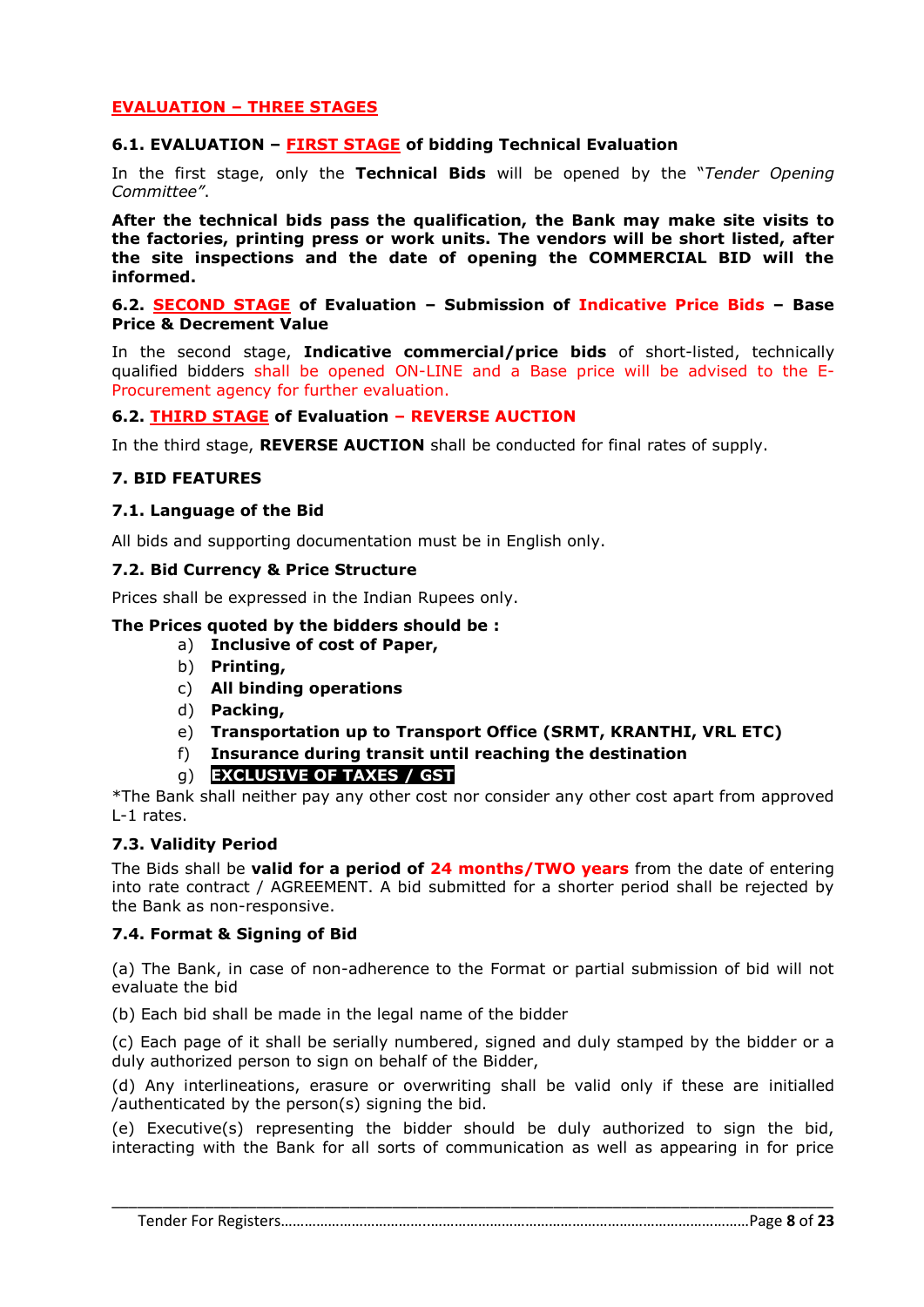#### **EVALUATION – THREE STAGES**

#### **6.1. EVALUATION – FIRST STAGE of bidding Technical Evaluation**

In the first stage, only the **Technical Bids** will be opened by the "*Tender Opening Committee"*.

**After the technical bids pass the qualification, the Bank may make site visits to the factories, printing press or work units. The vendors will be short listed, after the site inspections and the date of opening the COMMERCIAL BID will the informed.**

#### **6.2. SECOND STAGE of Evaluation – Submission of Indicative Price Bids – Base Price & Decrement Value**

In the second stage, **Indicative commercial/price bids** of short-listed, technically qualified bidders shall be opened ON-LINE and a Base price will be advised to the E-Procurement agency for further evaluation.

#### **6.2. THIRD STAGE of Evaluation – REVERSE AUCTION**

In the third stage, **REVERSE AUCTION** shall be conducted for final rates of supply.

#### **7. BID FEATURES**

#### **7.1. Language of the Bid**

All bids and supporting documentation must be in English only.

#### **7.2. Bid Currency & Price Structure**

Prices shall be expressed in the Indian Rupees only.

#### **The Prices quoted by the bidders should be :**

- a) **Inclusive of cost of Paper,**
- b) **Printing,**
- c) **All binding operations**
- d) **Packing,**
- e) **Transportation up to Transport Office (SRMT, KRANTHI, VRL ETC)**
- f) **Insurance during transit until reaching the destination**
- g) **EXCLUSIVE OF TAXES / GST**

\*The Bank shall neither pay any other cost nor consider any other cost apart from approved L-1 rates.

#### **7.3. Validity Period**

The Bids shall be **valid for a period of 24 months/TWO years** from the date of entering into rate contract / AGREEMENT. A bid submitted for a shorter period shall be rejected by the Bank as non-responsive.

#### **7.4. Format & Signing of Bid**

(a) The Bank, in case of non-adherence to the Format or partial submission of bid will not evaluate the bid

(b) Each bid shall be made in the legal name of the bidder

(c) Each page of it shall be serially numbered, signed and duly stamped by the bidder or a duly authorized person to sign on behalf of the Bidder,

(d) Any interlineations, erasure or overwriting shall be valid only if these are initialled /authenticated by the person(s) signing the bid.

(e) Executive(s) representing the bidder should be duly authorized to sign the bid, interacting with the Bank for all sorts of communication as well as appearing in for price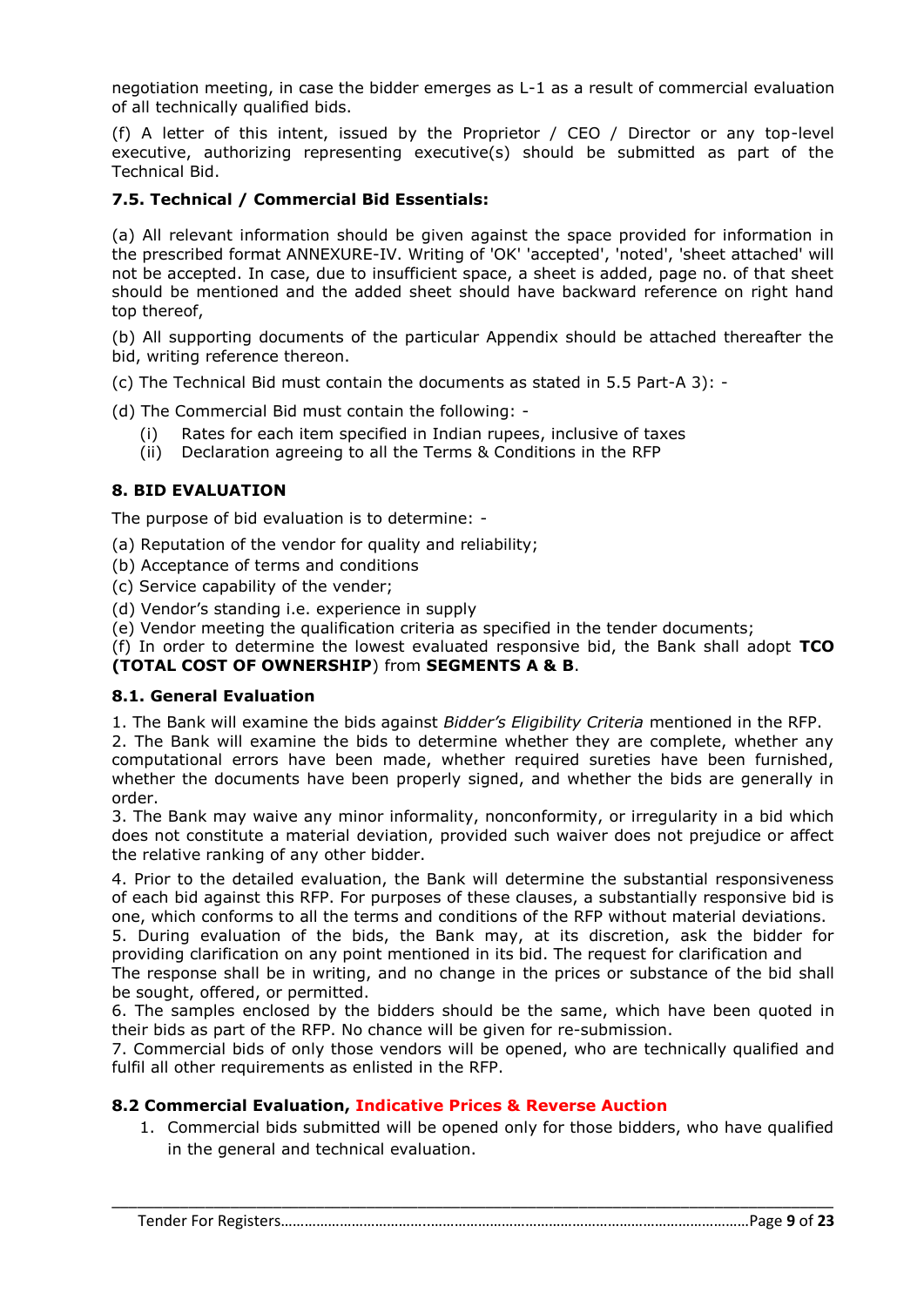negotiation meeting, in case the bidder emerges as L-1 as a result of commercial evaluation of all technically qualified bids.

(f) A letter of this intent, issued by the Proprietor / CEO / Director or any top-level executive, authorizing representing executive(s) should be submitted as part of the Technical Bid.

#### **7.5. Technical / Commercial Bid Essentials:**

(a) All relevant information should be given against the space provided for information in the prescribed format ANNEXURE-IV. Writing of 'OK' 'accepted', 'noted', 'sheet attached' will not be accepted. In case, due to insufficient space, a sheet is added, page no. of that sheet should be mentioned and the added sheet should have backward reference on right hand top thereof,

(b) All supporting documents of the particular Appendix should be attached thereafter the bid, writing reference thereon.

(c) The Technical Bid must contain the documents as stated in 5.5 Part-A 3): -

(d) The Commercial Bid must contain the following: -

- (i) Rates for each item specified in Indian rupees, inclusive of taxes
- (ii) Declaration agreeing to all the Terms & Conditions in the RFP

#### **8. BID EVALUATION**

The purpose of bid evaluation is to determine: -

- (a) Reputation of the vendor for quality and reliability;
- (b) Acceptance of terms and conditions
- (c) Service capability of the vender;
- (d) Vendor's standing i.e. experience in supply
- (e) Vendor meeting the qualification criteria as specified in the tender documents;

(f) In order to determine the lowest evaluated responsive bid, the Bank shall adopt **TCO (TOTAL COST OF OWNERSHIP**) from **SEGMENTS A & B**.

#### **8.1. General Evaluation**

1. The Bank will examine the bids against *Bidder's Eligibility Criteria* mentioned in the RFP.

2. The Bank will examine the bids to determine whether they are complete, whether any computational errors have been made, whether required sureties have been furnished, whether the documents have been properly signed, and whether the bids are generally in order.

3. The Bank may waive any minor informality, nonconformity, or irregularity in a bid which does not constitute a material deviation, provided such waiver does not prejudice or affect the relative ranking of any other bidder.

4. Prior to the detailed evaluation, the Bank will determine the substantial responsiveness of each bid against this RFP. For purposes of these clauses, a substantially responsive bid is one, which conforms to all the terms and conditions of the RFP without material deviations.

5. During evaluation of the bids, the Bank may, at its discretion, ask the bidder for providing clarification on any point mentioned in its bid. The request for clarification and

The response shall be in writing, and no change in the prices or substance of the bid shall be sought, offered, or permitted.

6. The samples enclosed by the bidders should be the same, which have been quoted in their bids as part of the RFP. No chance will be given for re-submission.

7. Commercial bids of only those vendors will be opened, who are technically qualified and fulfil all other requirements as enlisted in the RFP.

#### **8.2 Commercial Evaluation, Indicative Prices & Reverse Auction**

1. Commercial bids submitted will be opened only for those bidders, who have qualified in the general and technical evaluation.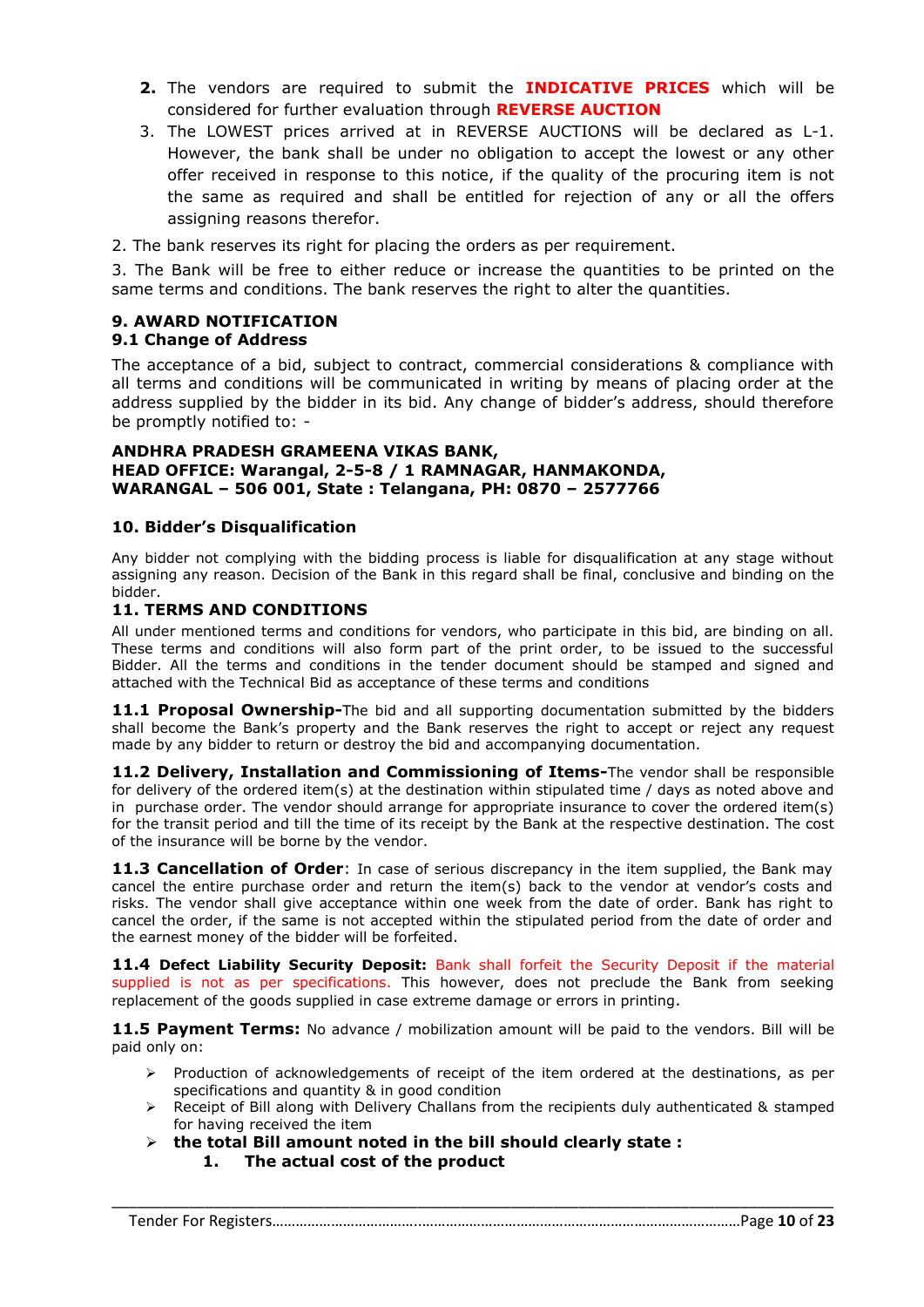- **2.** The vendors are required to submit the **INDICATIVE PRICES** which will be considered for further evaluation through **REVERSE AUCTION**
- 3. The LOWEST prices arrived at in REVERSE AUCTIONS will be declared as L-1. However, the bank shall be under no obligation to accept the lowest or any other offer received in response to this notice, if the quality of the procuring item is not the same as required and shall be entitled for rejection of any or all the offers assigning reasons therefor.
- 2. The bank reserves its right for placing the orders as per requirement.

3. The Bank will be free to either reduce or increase the quantities to be printed on the same terms and conditions. The bank reserves the right to alter the quantities.

## **9. AWARD NOTIFICATION**

#### **9.1 Change of Address**

The acceptance of a bid, subject to contract, commercial considerations & compliance with all terms and conditions will be communicated in writing by means of placing order at the address supplied by the bidder in its bid. Any change of bidder's address, should therefore be promptly notified to: -

#### **ANDHRA PRADESH GRAMEENA VIKAS BANK, HEAD OFFICE: Warangal, 2-5-8 / 1 RAMNAGAR, HANMAKONDA, WARANGAL – 506 001, State : Telangana, PH: 0870 – 2577766**

#### **10. Bidder's Disqualification**

Any bidder not complying with the bidding process is liable for disqualification at any stage without assigning any reason. Decision of the Bank in this regard shall be final, conclusive and binding on the bidder.

#### **11. TERMS AND CONDITIONS**

All under mentioned terms and conditions for vendors, who participate in this bid, are binding on all. These terms and conditions will also form part of the print order, to be issued to the successful Bidder. All the terms and conditions in the tender document should be stamped and signed and attached with the Technical Bid as acceptance of these terms and conditions

**11.1 Proposal Ownership-**The bid and all supporting documentation submitted by the bidders shall become the Bank's property and the Bank reserves the right to accept or reject any request made by any bidder to return or destroy the bid and accompanying documentation.

**11.2 Delivery, Installation and Commissioning of Items-**The vendor shall be responsible for delivery of the ordered item(s) at the destination within stipulated time / days as noted above and in purchase order. The vendor should arrange for appropriate insurance to cover the ordered item(s) for the transit period and till the time of its receipt by the Bank at the respective destination. The cost of the insurance will be borne by the vendor.

**11.3 Cancellation of Order**: In case of serious discrepancy in the item supplied, the Bank may cancel the entire purchase order and return the item(s) back to the vendor at vendor's costs and risks. The vendor shall give acceptance within one week from the date of order. Bank has right to cancel the order, if the same is not accepted within the stipulated period from the date of order and the earnest money of the bidder will be forfeited.

**11.4 Defect Liability Security Deposit:** Bank shall forfeit the Security Deposit if the material supplied is not as per specifications. This however, does not preclude the Bank from seeking replacement of the goods supplied in case extreme damage or errors in printing.

**11.5 Payment Terms:** No advance / mobilization amount will be paid to the vendors. Bill will be paid only on:

- > Production of acknowledgements of receipt of the item ordered at the destinations, as per specifications and quantity & in good condition
- $\triangleright$  Receipt of Bill along with Delivery Challans from the recipients duly authenticated & stamped for having received the item
- **the total Bill amount noted in the bill should clearly state : 1. The actual cost of the product**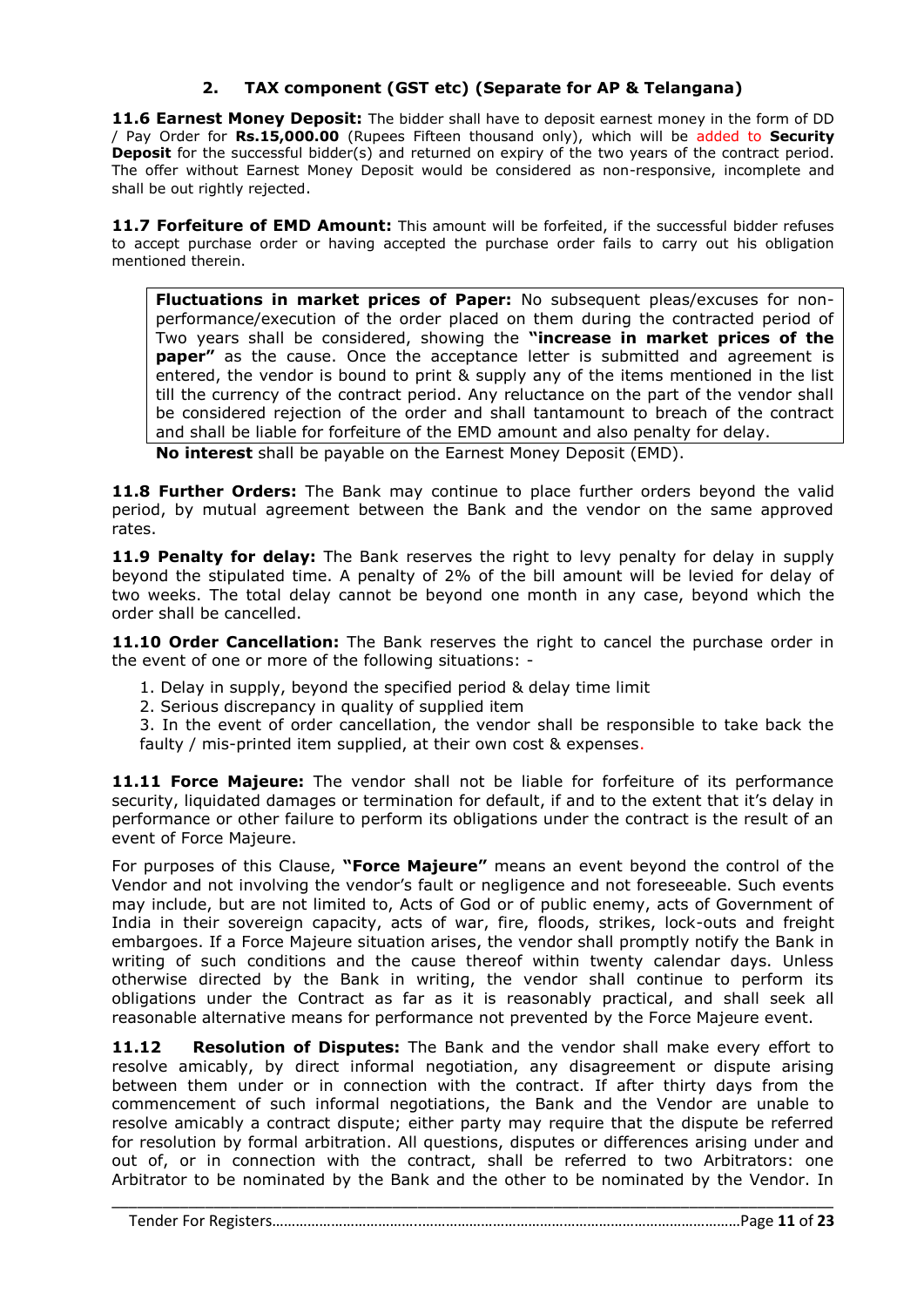#### **2. TAX component (GST etc) (Separate for AP & Telangana)**

**11.6 Earnest Money Deposit:** The bidder shall have to deposit earnest money in the form of DD / Pay Order for **Rs.15,000.00** (Rupees Fifteen thousand only), which will be added to **Security Deposit** for the successful bidder(s) and returned on expiry of the two years of the contract period. The offer without Earnest Money Deposit would be considered as non-responsive, incomplete and shall be out rightly rejected.

**11.7 Forfeiture of EMD Amount:** This amount will be forfeited, if the successful bidder refuses to accept purchase order or having accepted the purchase order fails to carry out his obligation mentioned therein.

**Fluctuations in market prices of Paper:** No subsequent pleas/excuses for nonperformance/execution of the order placed on them during the contracted period of Two years shall be considered, showing the **"increase in market prices of the paper"** as the cause. Once the acceptance letter is submitted and agreement is entered, the vendor is bound to print & supply any of the items mentioned in the list till the currency of the contract period. Any reluctance on the part of the vendor shall be considered rejection of the order and shall tantamount to breach of the contract and shall be liable for forfeiture of the EMD amount and also penalty for delay.

**No interest** shall be payable on the Earnest Money Deposit (EMD).

**11.8 Further Orders:** The Bank may continue to place further orders beyond the valid period, by mutual agreement between the Bank and the vendor on the same approved rates.

**11.9 Penalty for delay:** The Bank reserves the right to levy penalty for delay in supply beyond the stipulated time. A penalty of 2% of the bill amount will be levied for delay of two weeks. The total delay cannot be beyond one month in any case, beyond which the order shall be cancelled.

**11.10 Order Cancellation:** The Bank reserves the right to cancel the purchase order in the event of one or more of the following situations: -

- 1. Delay in supply, beyond the specified period & delay time limit
- 2. Serious discrepancy in quality of supplied item

3. In the event of order cancellation, the vendor shall be responsible to take back the faulty / mis-printed item supplied, at their own cost & expenses.

**11.11 Force Majeure:** The vendor shall not be liable for forfeiture of its performance security, liquidated damages or termination for default, if and to the extent that it's delay in performance or other failure to perform its obligations under the contract is the result of an event of Force Majeure.

For purposes of this Clause, **"Force Majeure"** means an event beyond the control of the Vendor and not involving the vendor's fault or negligence and not foreseeable. Such events may include, but are not limited to, Acts of God or of public enemy, acts of Government of India in their sovereign capacity, acts of war, fire, floods, strikes, lock-outs and freight embargoes. If a Force Majeure situation arises, the vendor shall promptly notify the Bank in writing of such conditions and the cause thereof within twenty calendar days. Unless otherwise directed by the Bank in writing, the vendor shall continue to perform its obligations under the Contract as far as it is reasonably practical, and shall seek all reasonable alternative means for performance not prevented by the Force Majeure event.

**11.12 Resolution of Disputes:** The Bank and the vendor shall make every effort to resolve amicably, by direct informal negotiation, any disagreement or dispute arising between them under or in connection with the contract. If after thirty days from the commencement of such informal negotiations, the Bank and the Vendor are unable to resolve amicably a contract dispute; either party may require that the dispute be referred for resolution by formal arbitration. All questions, disputes or differences arising under and out of, or in connection with the contract, shall be referred to two Arbitrators: one Arbitrator to be nominated by the Bank and the other to be nominated by the Vendor. In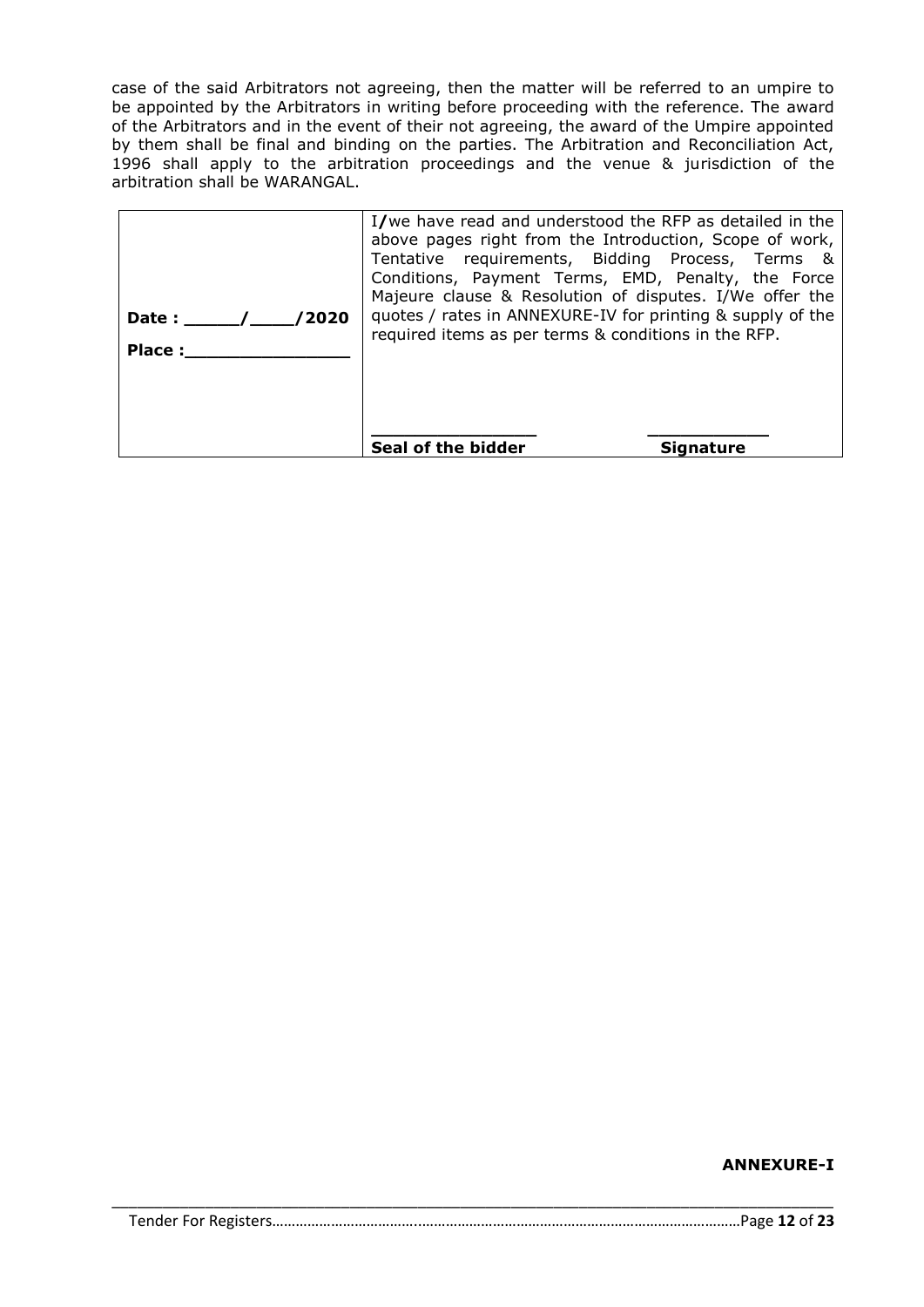case of the said Arbitrators not agreeing, then the matter will be referred to an umpire to be appointed by the Arbitrators in writing before proceeding with the reference. The award of the Arbitrators and in the event of their not agreeing, the award of the Umpire appointed by them shall be final and binding on the parties. The Arbitration and Reconciliation Act, 1996 shall apply to the arbitration proceedings and the venue & jurisdiction of the arbitration shall be WARANGAL.

| /2020<br>Date:<br><b>Place:</b> | I/we have read and understood the RFP as detailed in the<br>above pages right from the Introduction, Scope of work,<br>Tentative requirements, Bidding Process, Terms &<br>Conditions, Payment Terms, EMD, Penalty, the Force<br>Majeure clause & Resolution of disputes. I/We offer the<br>quotes / rates in ANNEXURE-IV for printing & supply of the<br>required items as per terms & conditions in the RFP. |                  |
|---------------------------------|----------------------------------------------------------------------------------------------------------------------------------------------------------------------------------------------------------------------------------------------------------------------------------------------------------------------------------------------------------------------------------------------------------------|------------------|
|                                 | Seal of the bidder                                                                                                                                                                                                                                                                                                                                                                                             | <b>Signature</b> |

#### **ANNEXURE-I**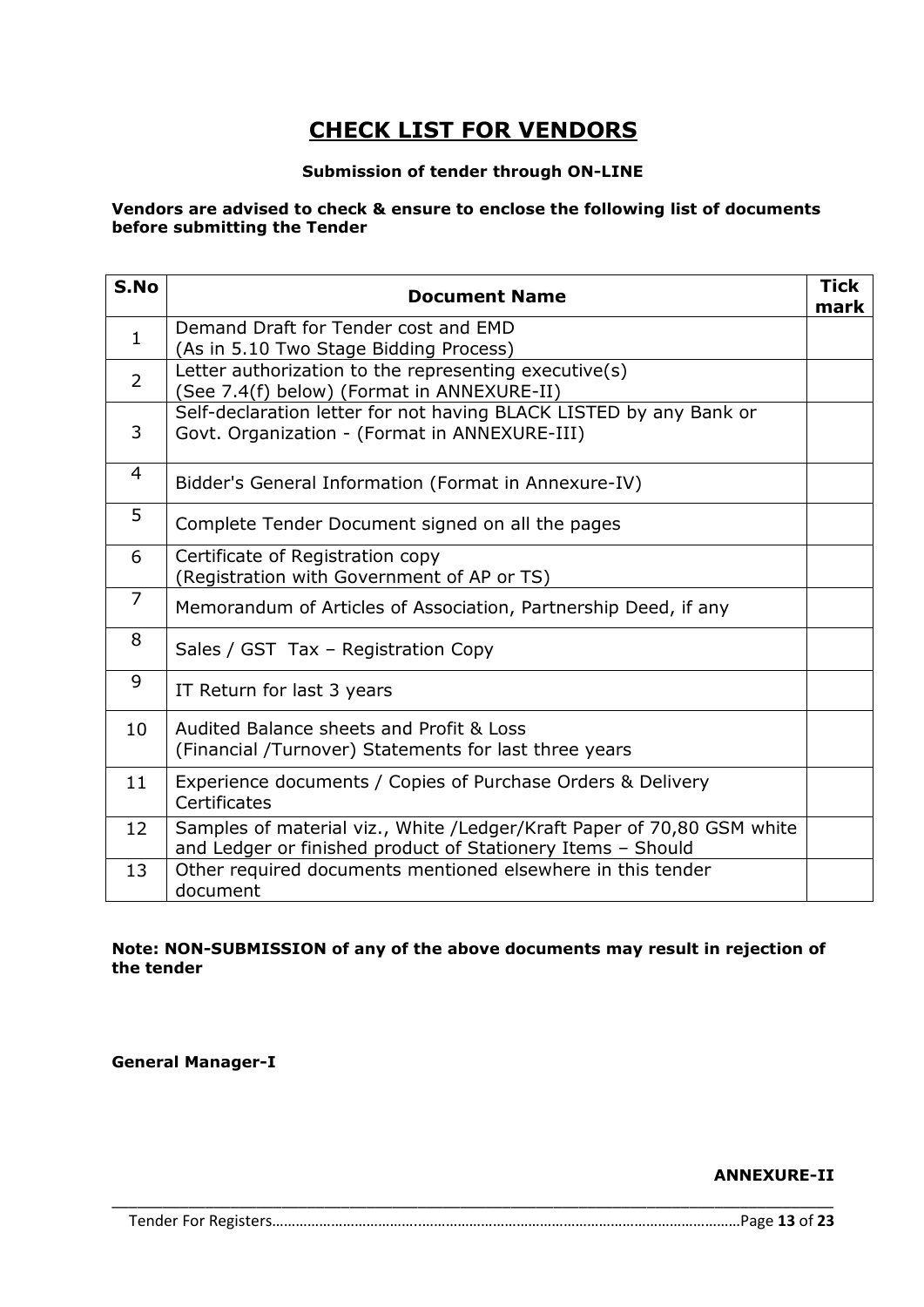# **CHECK LIST FOR VENDORS**

#### **Submission of tender through ON-LINE**

#### **Vendors are advised to check & ensure to enclose the following list of documents before submitting the Tender**

| S.No           | <b>Document Name</b>                                                                                                                  | <b>Tick</b><br>mark |
|----------------|---------------------------------------------------------------------------------------------------------------------------------------|---------------------|
| $\mathbf{1}$   | Demand Draft for Tender cost and EMD<br>(As in 5.10 Two Stage Bidding Process)                                                        |                     |
| $\overline{2}$ | Letter authorization to the representing executive(s)<br>(See 7.4(f) below) (Format in ANNEXURE-II)                                   |                     |
| 3              | Self-declaration letter for not having BLACK LISTED by any Bank or<br>Govt. Organization - (Format in ANNEXURE-III)                   |                     |
| 4              | Bidder's General Information (Format in Annexure-IV)                                                                                  |                     |
| 5              | Complete Tender Document signed on all the pages                                                                                      |                     |
| 6              | Certificate of Registration copy<br>(Registration with Government of AP or TS)                                                        |                     |
| $\overline{7}$ | Memorandum of Articles of Association, Partnership Deed, if any                                                                       |                     |
| 8              | Sales / GST Tax - Registration Copy                                                                                                   |                     |
| 9              | IT Return for last 3 years                                                                                                            |                     |
| 10             | Audited Balance sheets and Profit & Loss<br>(Financial /Turnover) Statements for last three years                                     |                     |
| 11             | Experience documents / Copies of Purchase Orders & Delivery<br>Certificates                                                           |                     |
| 12             | Samples of material viz., White /Ledger/Kraft Paper of 70,80 GSM white<br>and Ledger or finished product of Stationery Items - Should |                     |
| 13             | Other required documents mentioned elsewhere in this tender<br>document                                                               |                     |

#### **Note: NON-SUBMISSION of any of the above documents may result in rejection of the tender**

**General Manager-I**

**ANNEXURE-II**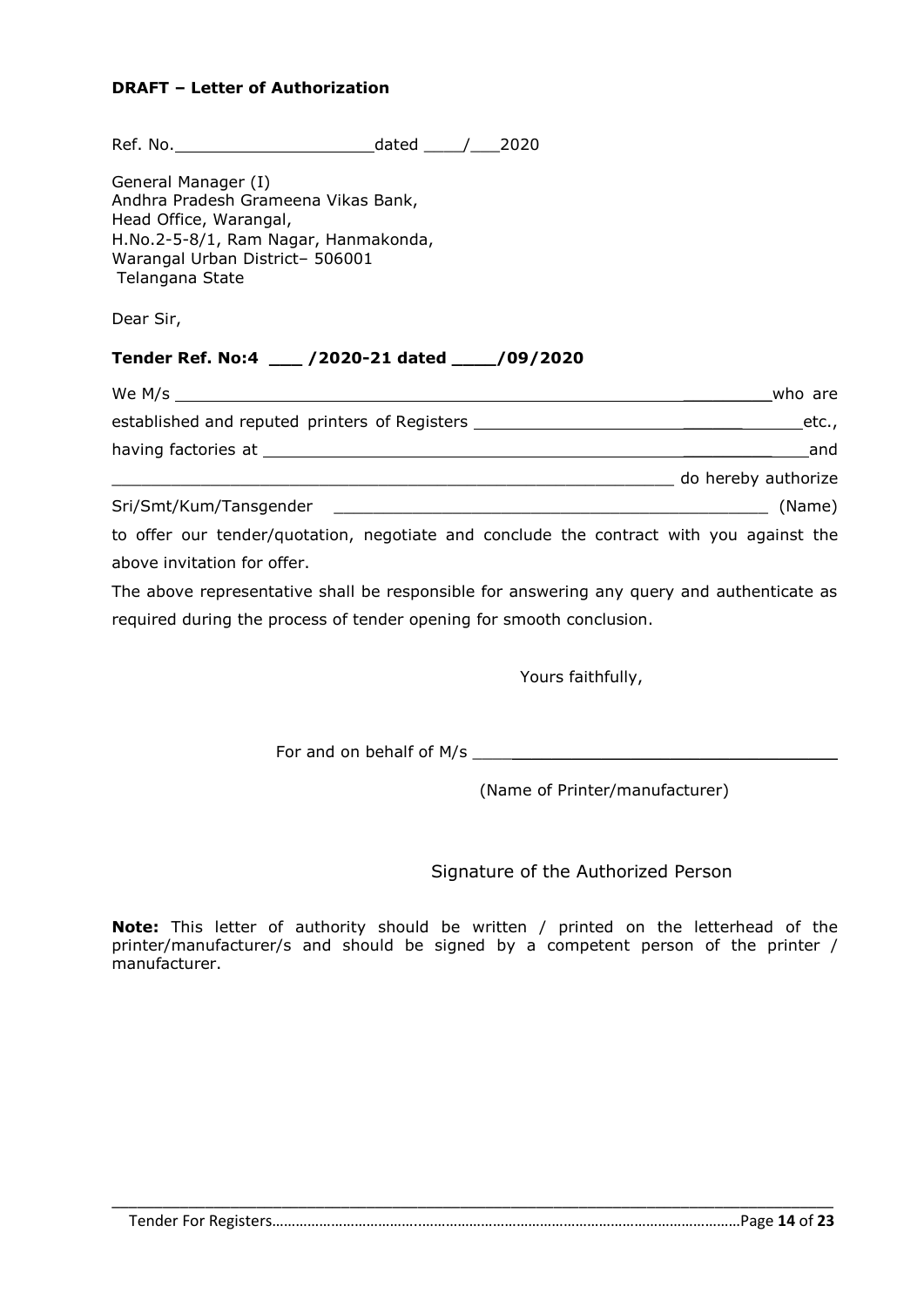#### **DRAFT – Letter of Authorization**

| to offer our tender/quotation, negotiate and conclude the contract with you against the   |
|-------------------------------------------------------------------------------------------|
|                                                                                           |
| The above representative shall be responsible for answering any query and authenticate as |
|                                                                                           |
|                                                                                           |

Yours faithfully,

For and on behalf of M/s \_\_\_\_\_\_\_\_\_\_\_\_\_\_\_\_\_\_\_\_\_\_\_\_\_\_\_\_\_\_\_\_\_\_\_\_\_

(Name of Printer/manufacturer)

Signature of the Authorized Person

**Note:** This letter of authority should be written / printed on the letterhead of the printer/manufacturer/s and should be signed by a competent person of the printer / manufacturer.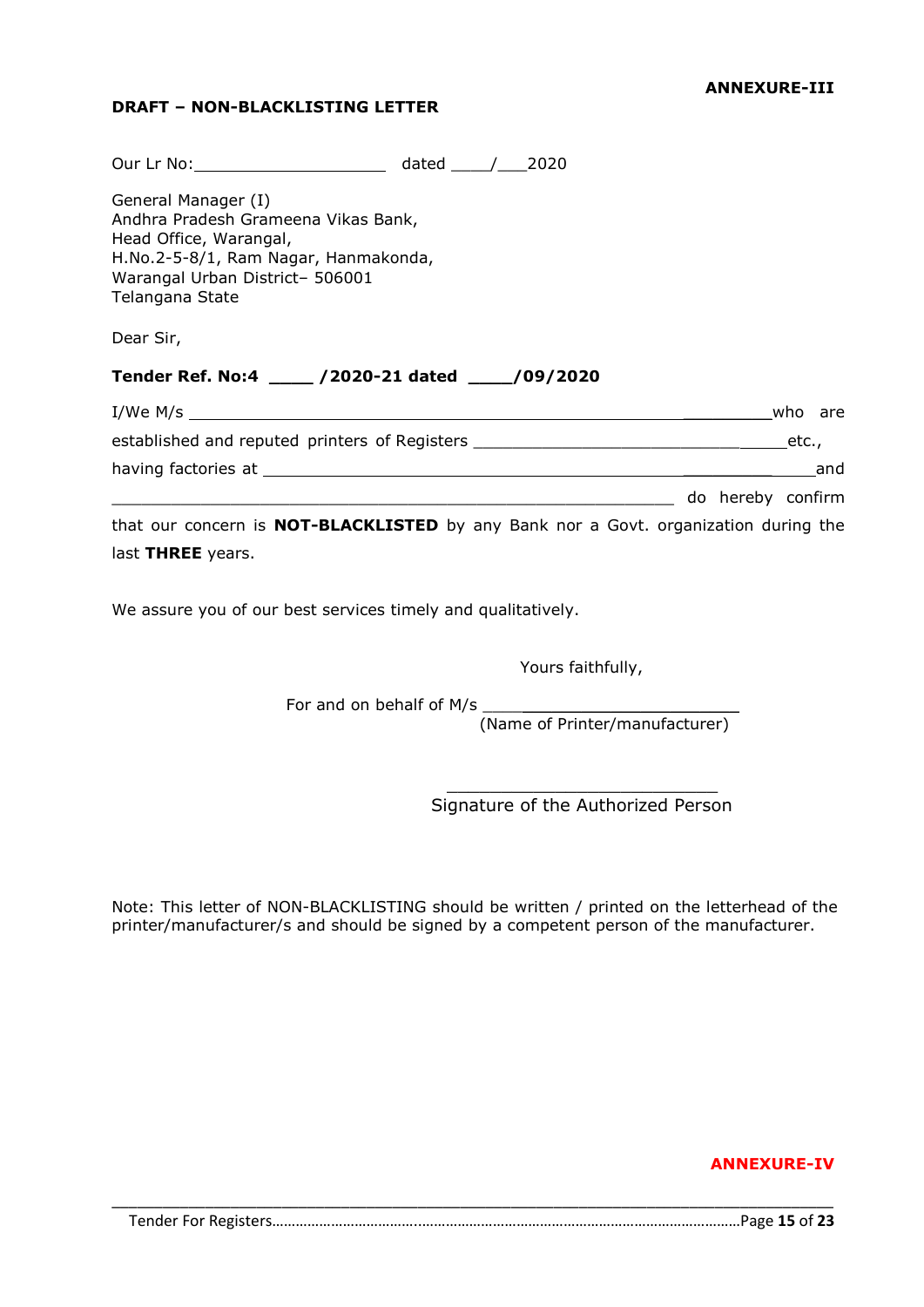#### **DRAFT – NON-BLACKLISTING LETTER**

| Our Lr No: 2020                                                                                                                                                                    |  |                   |  |     |
|------------------------------------------------------------------------------------------------------------------------------------------------------------------------------------|--|-------------------|--|-----|
| General Manager (I)<br>Andhra Pradesh Grameena Vikas Bank,<br>Head Office, Warangal,<br>H.No.2-5-8/1, Ram Nagar, Hanmakonda,<br>Warangal Urban District- 506001<br>Telangana State |  |                   |  |     |
| Dear Sir,                                                                                                                                                                          |  |                   |  |     |
| Tender Ref. No:4 ____ /2020-21 dated ____/09/2020                                                                                                                                  |  |                   |  |     |
|                                                                                                                                                                                    |  |                   |  |     |
|                                                                                                                                                                                    |  |                   |  |     |
|                                                                                                                                                                                    |  |                   |  | and |
| do hereby confirm and the continued of the confirm of the confirm of the confirm                                                                                                   |  |                   |  |     |
| that our concern is <b>NOT-BLACKLISTED</b> by any Bank nor a Govt. organization during the                                                                                         |  |                   |  |     |
| last THREE years.                                                                                                                                                                  |  |                   |  |     |
| We assure you of our best services timely and qualitatively.                                                                                                                       |  |                   |  |     |
|                                                                                                                                                                                    |  | Yours faithfully, |  |     |

For and on behalf of M/s  $\frac{1}{2}$  and  $\frac{1}{2}$  and  $\frac{1}{2}$  and  $\frac{1}{2}$  and  $\frac{1}{2}$  and  $\frac{1}{2}$  and  $\frac{1}{2}$  and  $\frac{1}{2}$  and  $\frac{1}{2}$  and  $\frac{1}{2}$  and  $\frac{1}{2}$  and  $\frac{1}{2}$  and  $\frac{1}{2}$  and  $\frac{1}{2}$  and

(Name of Printer/manufacturer)

 $\frac{1}{2}$  ,  $\frac{1}{2}$  ,  $\frac{1}{2}$  ,  $\frac{1}{2}$  ,  $\frac{1}{2}$  ,  $\frac{1}{2}$  ,  $\frac{1}{2}$  ,  $\frac{1}{2}$  ,  $\frac{1}{2}$  ,  $\frac{1}{2}$  ,  $\frac{1}{2}$  ,  $\frac{1}{2}$  ,  $\frac{1}{2}$  ,  $\frac{1}{2}$  ,  $\frac{1}{2}$  ,  $\frac{1}{2}$  ,  $\frac{1}{2}$  ,  $\frac{1}{2}$  ,  $\frac{1$ Signature of the Authorized Person

Note: This letter of NON-BLACKLISTING should be written / printed on the letterhead of the printer/manufacturer/s and should be signed by a competent person of the manufacturer.

#### **ANNEXURE-IV**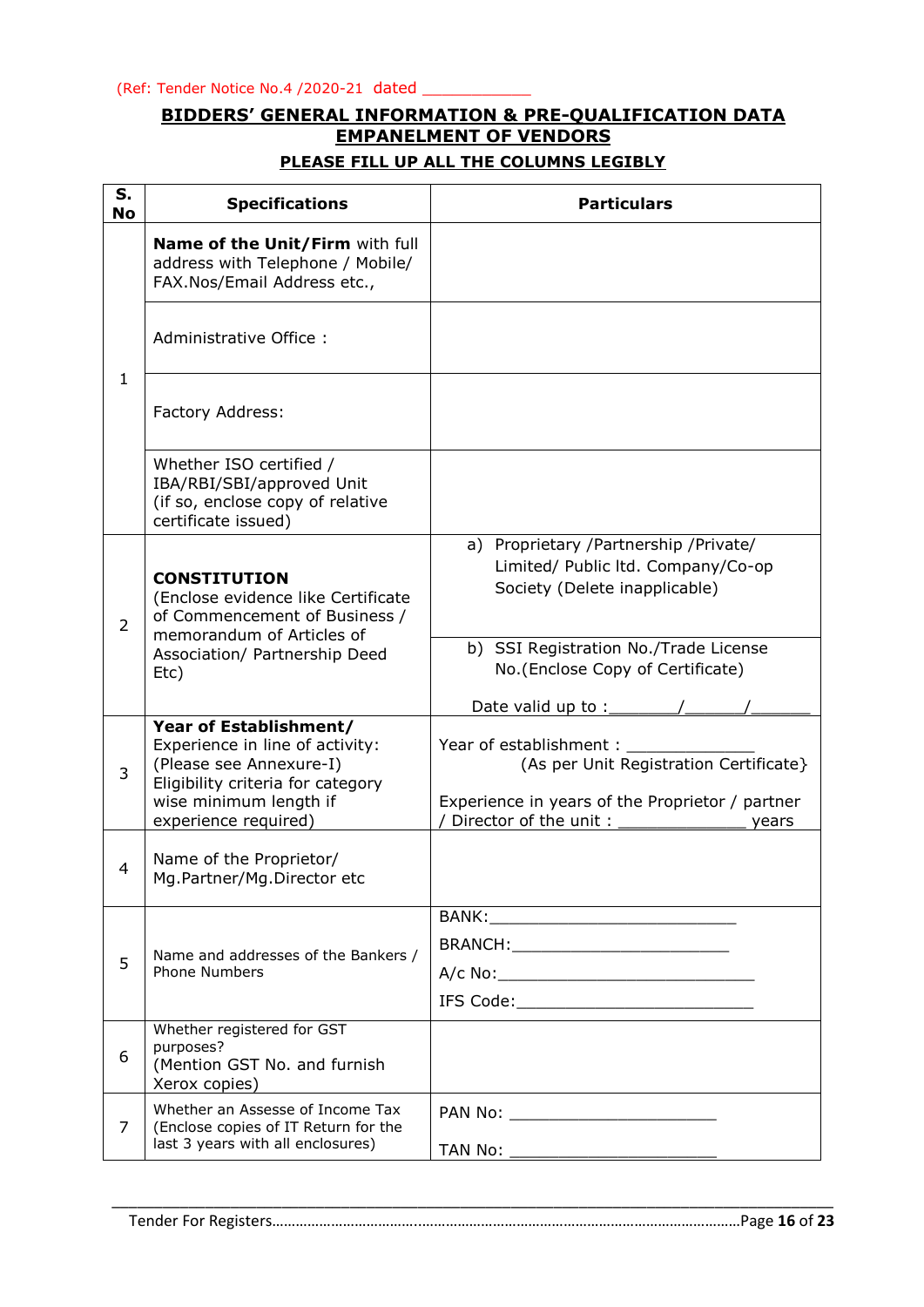### **BIDDERS' GENERAL INFORMATION & PRE-QUALIFICATION DATA EMPANELMENT OF VENDORS**

#### **PLEASE FILL UP ALL THE COLUMNS LEGIBLY**

| S.<br><b>No</b>                                                                                                                                                                    | <b>Specifications</b>                                                                                                                               | <b>Particulars</b>                                                                                                  |
|------------------------------------------------------------------------------------------------------------------------------------------------------------------------------------|-----------------------------------------------------------------------------------------------------------------------------------------------------|---------------------------------------------------------------------------------------------------------------------|
|                                                                                                                                                                                    | Name of the Unit/Firm with full<br>address with Telephone / Mobile/<br>FAX.Nos/Email Address etc.,                                                  |                                                                                                                     |
|                                                                                                                                                                                    | Administrative Office:                                                                                                                              |                                                                                                                     |
| $\mathbf{1}$                                                                                                                                                                       | Factory Address:                                                                                                                                    |                                                                                                                     |
|                                                                                                                                                                                    | Whether ISO certified /<br>IBA/RBI/SBI/approved Unit<br>(if so, enclose copy of relative<br>certificate issued)                                     |                                                                                                                     |
| <b>CONSTITUTION</b><br>(Enclose evidence like Certificate<br>of Commencement of Business /<br>$\overline{2}$<br>memorandum of Articles of<br>Association/ Partnership Deed<br>Etc) | a) Proprietary /Partnership /Private/<br>Limited/ Public ltd. Company/Co-op<br>Society (Delete inapplicable)                                        |                                                                                                                     |
|                                                                                                                                                                                    |                                                                                                                                                     | b) SSI Registration No./Trade License<br>No. (Enclose Copy of Certificate)<br>Date valid up to $:$                  |
| 3                                                                                                                                                                                  | Year of Establishment/<br>Experience in line of activity:<br>(Please see Annexure-I)<br>Eligibility criteria for category<br>wise minimum length if | Year of establishment:<br>(As per Unit Registration Certificate}<br>Experience in years of the Proprietor / partner |
| 4                                                                                                                                                                                  | experience required)<br>Name of the Proprietor/<br>Mg.Partner/Mg.Director etc                                                                       | Director of the unit:<br>years                                                                                      |
|                                                                                                                                                                                    |                                                                                                                                                     |                                                                                                                     |
| 5                                                                                                                                                                                  | Name and addresses of the Bankers /<br><b>Phone Numbers</b>                                                                                         |                                                                                                                     |
| 6                                                                                                                                                                                  | Whether registered for GST<br>purposes?<br>(Mention GST No. and furnish<br>Xerox copies)                                                            |                                                                                                                     |
| $\overline{7}$                                                                                                                                                                     | Whether an Assesse of Income Tax<br>(Enclose copies of IT Return for the<br>last 3 years with all enclosures)                                       |                                                                                                                     |
|                                                                                                                                                                                    |                                                                                                                                                     |                                                                                                                     |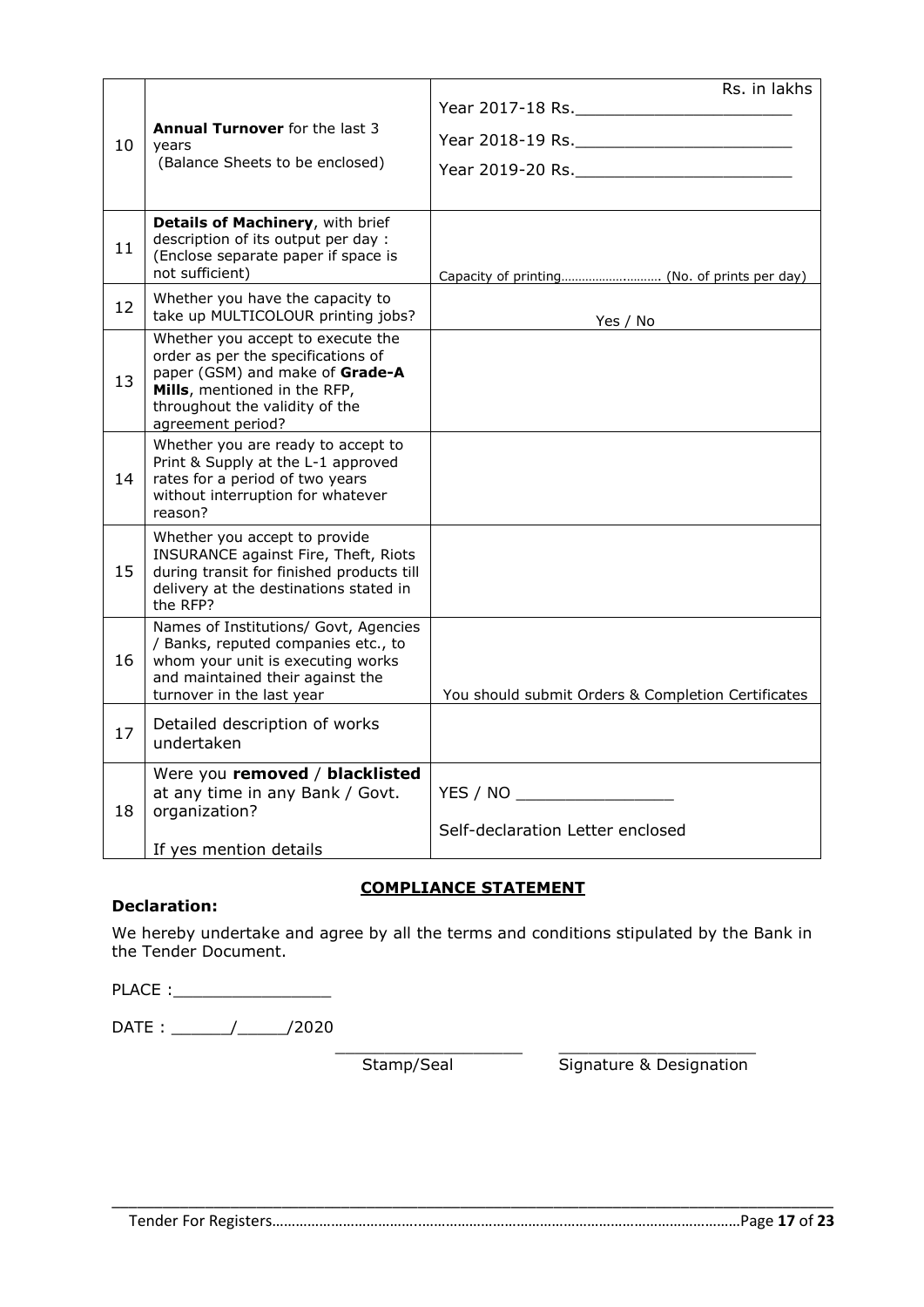|    |                                                                                                                                                                                                   | Rs. in lakhs                                       |
|----|---------------------------------------------------------------------------------------------------------------------------------------------------------------------------------------------------|----------------------------------------------------|
| 10 | <b>Annual Turnover</b> for the last 3<br>years<br>(Balance Sheets to be enclosed)                                                                                                                 |                                                    |
| 11 | Details of Machinery, with brief<br>description of its output per day :<br>(Enclose separate paper if space is<br>not sufficient)                                                                 |                                                    |
| 12 | Whether you have the capacity to<br>take up MULTICOLOUR printing jobs?                                                                                                                            | Yes / No                                           |
| 13 | Whether you accept to execute the<br>order as per the specifications of<br>paper (GSM) and make of Grade-A<br>Mills, mentioned in the RFP,<br>throughout the validity of the<br>agreement period? |                                                    |
| 14 | Whether you are ready to accept to<br>Print & Supply at the L-1 approved<br>rates for a period of two years<br>without interruption for whatever<br>reason?                                       |                                                    |
| 15 | Whether you accept to provide<br>INSURANCE against Fire, Theft, Riots<br>during transit for finished products till<br>delivery at the destinations stated in<br>the RFP?                          |                                                    |
| 16 | Names of Institutions/ Govt, Agencies<br>/ Banks, reputed companies etc., to<br>whom your unit is executing works<br>and maintained their against the<br>turnover in the last year                | You should submit Orders & Completion Certificates |
| 17 | Detailed description of works<br>undertaken                                                                                                                                                       |                                                    |
| 18 | Were you removed / blacklisted<br>at any time in any Bank / Govt.<br>organization?<br>If yes mention details                                                                                      | YES / NO<br>Self-declaration Letter enclosed       |

#### **COMPLIANCE STATEMENT**

#### **Declaration:**

We hereby undertake and agree by all the terms and conditions stipulated by the Bank in the Tender Document.

PLACE :\_\_\_\_\_\_\_\_\_\_\_\_\_\_\_\_

DATE : \_\_\_\_\_\_/\_\_\_\_\_/2020

Stamp/Seal Signature & Designation

\_\_\_\_\_\_\_\_\_\_\_\_\_\_\_\_\_\_\_ \_\_\_\_\_\_\_\_\_\_\_\_\_\_\_\_\_\_\_\_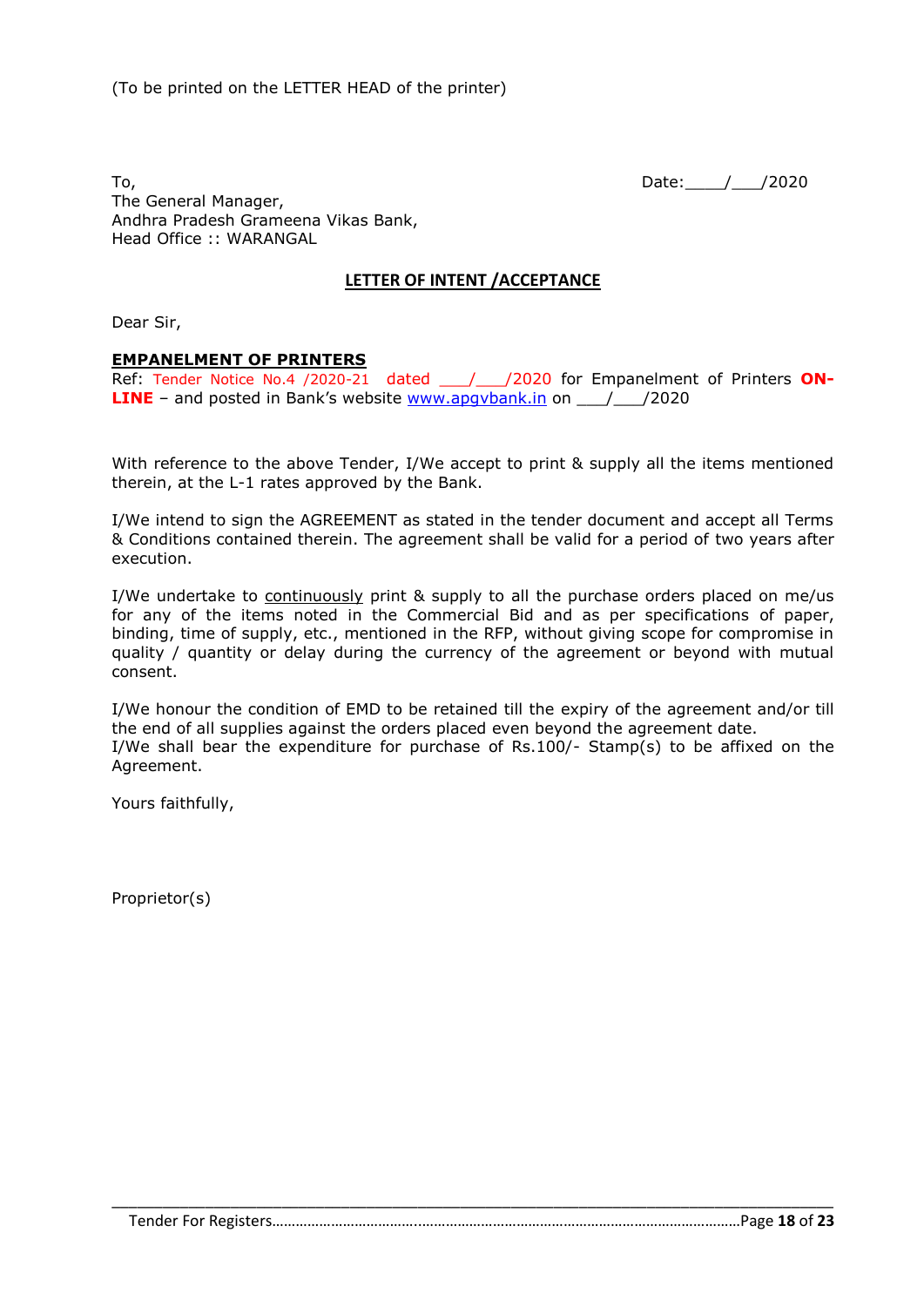To, 2020 The General Manager, Andhra Pradesh Grameena Vikas Bank, Head Office :: WARANGAL

#### **LETTER OF INTENT /ACCEPTANCE**

Dear Sir,

#### **EMPANELMENT OF PRINTERS**

Ref: Tender Notice No.4 /2020-21 dated \_\_\_/\_\_\_/2020 for Empanelment of Printers **ON-LINE** – and posted in Bank's website **[www.apgvbank.in](http://www.apgvbank.in/)** on \_\_\_/\_\_\_/2020

With reference to the above Tender, I/We accept to print & supply all the items mentioned therein, at the L-1 rates approved by the Bank.

I/We intend to sign the AGREEMENT as stated in the tender document and accept all Terms & Conditions contained therein. The agreement shall be valid for a period of two years after execution.

I/We undertake to continuously print & supply to all the purchase orders placed on me/us for any of the items noted in the Commercial Bid and as per specifications of paper, binding, time of supply, etc., mentioned in the RFP, without giving scope for compromise in quality / quantity or delay during the currency of the agreement or beyond with mutual consent.

I/We honour the condition of EMD to be retained till the expiry of the agreement and/or till the end of all supplies against the orders placed even beyond the agreement date. I/We shall bear the expenditure for purchase of Rs.100/- Stamp(s) to be affixed on the Agreement.

Yours faithfully,

Proprietor(s)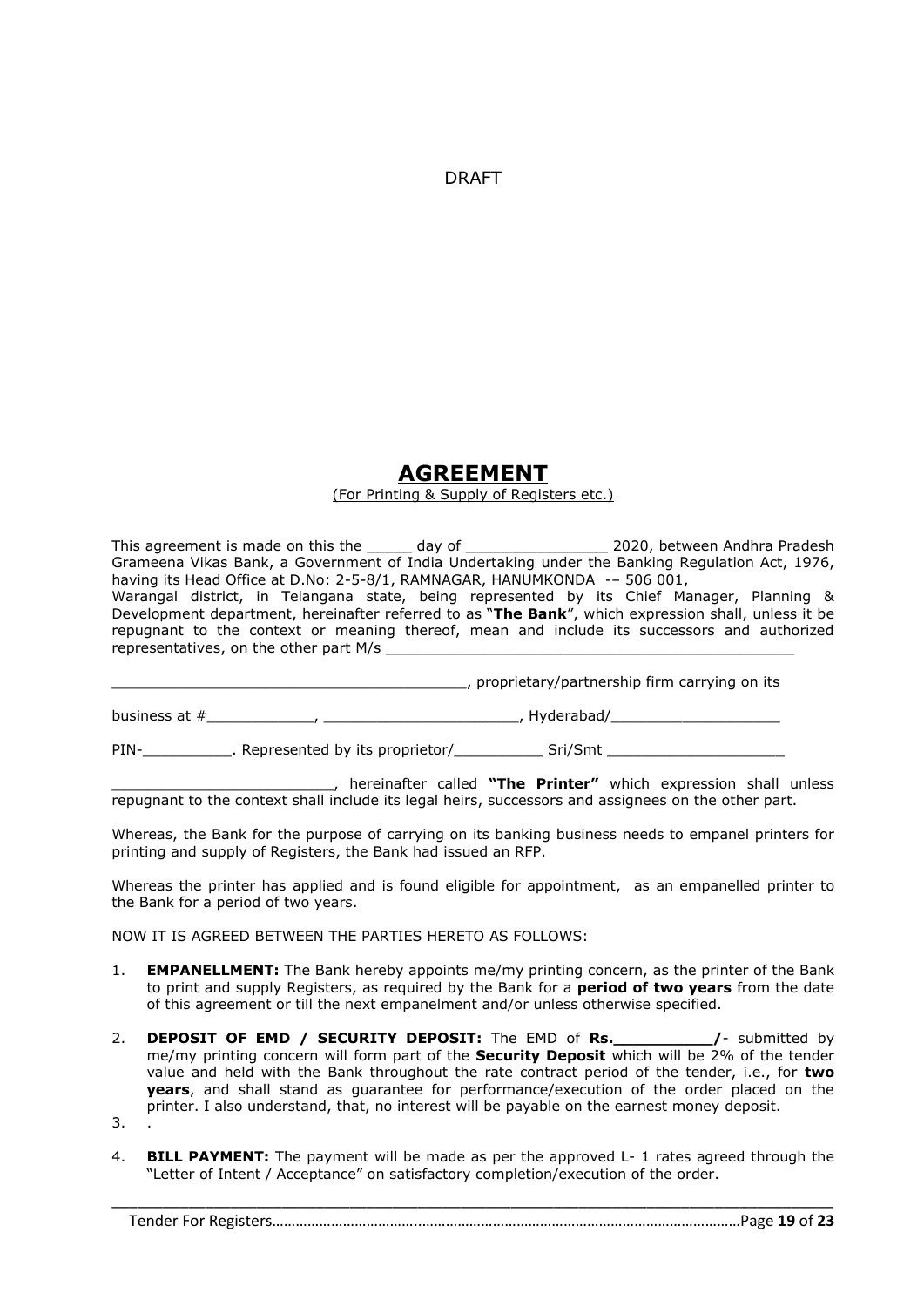DRAFT

## **AGREEMENT**

#### (For Printing & Supply of Registers etc.)

This agreement is made on this the \_\_\_\_\_ day of \_\_\_\_\_\_\_\_\_\_\_\_\_\_\_\_\_\_\_\_ 2020, between Andhra Pradesh Grameena Vikas Bank, a Government of India Undertaking under the Banking Regulation Act, 1976, having its Head Office at D.No: 2-5-8/1, RAMNAGAR, HANUMKONDA -- 506 001, Warangal district, in Telangana state, being represented by its Chief Manager, Planning & Development department, hereinafter referred to as "**The Bank**", which expression shall, unless it be repugnant to the context or meaning thereof, mean and include its successors and authorized

\_\_\_\_\_\_\_\_\_\_\_\_\_\_\_\_\_\_\_\_\_\_\_\_\_\_\_\_\_\_\_\_\_\_\_\_\_\_\_\_, proprietary/partnership firm carrying on its

business at #\_\_\_\_\_\_\_\_\_\_\_\_, \_\_\_\_\_\_\_\_\_\_\_\_\_\_\_\_\_\_\_\_\_\_, Hyderabad/\_\_\_\_\_\_\_\_\_\_\_\_\_\_\_\_\_\_\_

PIN-\_\_\_\_\_\_\_\_\_\_\_\_\_. Represented by its proprietor/\_\_\_\_\_\_\_\_\_\_\_\_\_\_ Sri/Smt \_\_\_

\_\_\_\_\_\_\_\_\_\_\_\_\_\_\_\_\_\_\_\_\_\_\_\_\_, hereinafter called **"The Printer"** which expression shall unless repugnant to the context shall include its legal heirs, successors and assignees on the other part.

Whereas, the Bank for the purpose of carrying on its banking business needs to empanel printers for printing and supply of Registers, the Bank had issued an RFP.

Whereas the printer has applied and is found eligible for appointment, as an empanelled printer to the Bank for a period of two years.

NOW IT IS AGREED BETWEEN THE PARTIES HERETO AS FOLLOWS:

representatives, on the other part M/s

- 1. **EMPANELLMENT:** The Bank hereby appoints me/my printing concern, as the printer of the Bank to print and supply Registers, as required by the Bank for a **period of two years** from the date of this agreement or till the next empanelment and/or unless otherwise specified.
- 2. **DEPOSIT OF EMD / SECURITY DEPOSIT:** The EMD of **Rs.\_\_\_\_\_\_\_\_\_\_/** submitted by me/my printing concern will form part of the **Security Deposit** which will be 2% of the tender value and held with the Bank throughout the rate contract period of the tender, i.e., for **two years**, and shall stand as guarantee for performance/execution of the order placed on the printer. I also understand, that, no interest will be payable on the earnest money deposit. 3. .
- 
- 4. **BILL PAYMENT:** The payment will be made as per the approved L- 1 rates agreed through the "Letter of Intent / Acceptance" on satisfactory completion/execution of the order.

\_\_\_\_\_\_\_\_\_\_\_\_\_\_\_\_\_\_\_\_\_\_\_\_\_\_\_\_\_\_\_\_\_\_\_\_\_\_\_\_\_\_\_\_\_\_\_\_\_\_\_\_\_\_\_\_\_\_\_\_\_\_\_\_\_\_\_\_\_\_\_\_\_\_\_\_\_\_\_\_\_\_\_\_\_ Tender For Registers………………………………..………………………………………………………………………Page **19** of **23**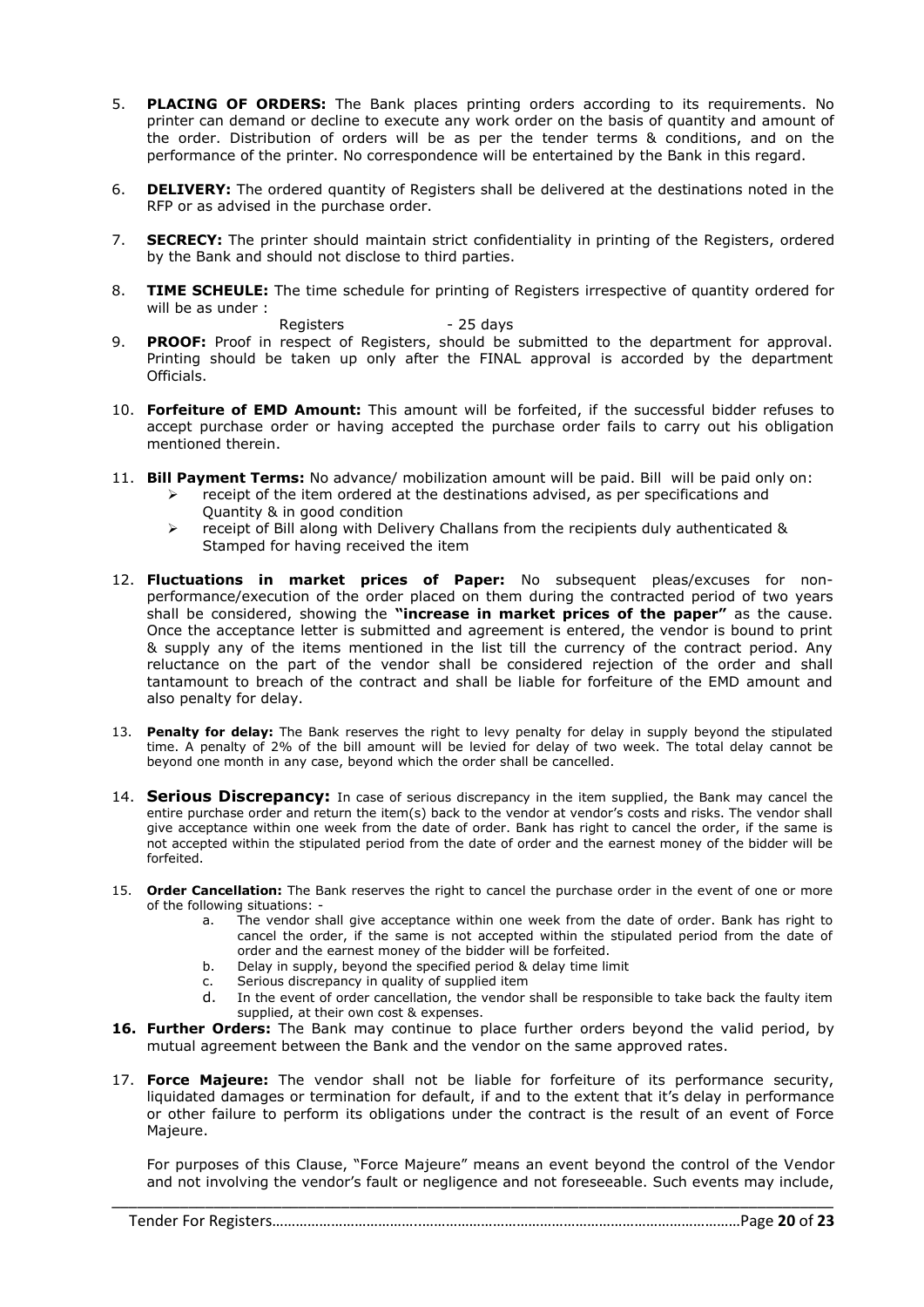- 5. **PLACING OF ORDERS:** The Bank places printing orders according to its requirements. No printer can demand or decline to execute any work order on the basis of quantity and amount of the order. Distribution of orders will be as per the tender terms & conditions, and on the performance of the printer. No correspondence will be entertained by the Bank in this regard.
- 6. **DELIVERY:** The ordered quantity of Registers shall be delivered at the destinations noted in the RFP or as advised in the purchase order.
- 7. **SECRECY:** The printer should maintain strict confidentiality in printing of the Registers, ordered by the Bank and should not disclose to third parties.
- 8. **TIME SCHEULE:** The time schedule for printing of Registers irrespective of quantity ordered for will be as under :

Registers - 25 days

- 9. **PROOF:** Proof in respect of Registers, should be submitted to the department for approval. Printing should be taken up only after the FINAL approval is accorded by the department Officials.
- 10. **Forfeiture of EMD Amount:** This amount will be forfeited, if the successful bidder refuses to accept purchase order or having accepted the purchase order fails to carry out his obligation mentioned therein.
- 11. **Bill Payment Terms:** No advance/ mobilization amount will be paid. Bill will be paid only on:
	- $\triangleright$  receipt of the item ordered at the destinations advised, as per specifications and Quantity & in good condition
	- $\triangleright$  receipt of Bill along with Delivery Challans from the recipients duly authenticated & Stamped for having received the item
- 12. **Fluctuations in market prices of Paper:** No subsequent pleas/excuses for nonperformance/execution of the order placed on them during the contracted period of two years shall be considered, showing the **"increase in market prices of the paper"** as the cause. Once the acceptance letter is submitted and agreement is entered, the vendor is bound to print & supply any of the items mentioned in the list till the currency of the contract period. Any reluctance on the part of the vendor shall be considered rejection of the order and shall tantamount to breach of the contract and shall be liable for forfeiture of the EMD amount and also penalty for delay.
- 13. **Penalty for delay:** The Bank reserves the right to levy penalty for delay in supply beyond the stipulated time. A penalty of 2% of the bill amount will be levied for delay of two week. The total delay cannot be beyond one month in any case, beyond which the order shall be cancelled.
- 14. **Serious Discrepancy:** In case of serious discrepancy in the item supplied, the Bank may cancel the entire purchase order and return the item(s) back to the vendor at vendor's costs and risks. The vendor shall give acceptance within one week from the date of order. Bank has right to cancel the order, if the same is not accepted within the stipulated period from the date of order and the earnest money of the bidder will be forfeited.
- 15. **Order Cancellation:** The Bank reserves the right to cancel the purchase order in the event of one or more of the following situations:
	- a. The vendor shall give acceptance within one week from the date of order. Bank has right to cancel the order, if the same is not accepted within the stipulated period from the date of order and the earnest money of the bidder will be forfeited.
	- b. Delay in supply, beyond the specified period & delay time limit
	- c. Serious discrepancy in quality of supplied item
	- d. In the event of order cancellation, the vendor shall be responsible to take back the faulty item supplied, at their own cost & expenses.
- **16. Further Orders:** The Bank may continue to place further orders beyond the valid period, by mutual agreement between the Bank and the vendor on the same approved rates.
- 17. **Force Majeure:** The vendor shall not be liable for forfeiture of its performance security, liquidated damages or termination for default, if and to the extent that it's delay in performance or other failure to perform its obligations under the contract is the result of an event of Force Majeure.

For purposes of this Clause, "Force Majeure" means an event beyond the control of the Vendor and not involving the vendor's fault or negligence and not foreseeable. Such events may include,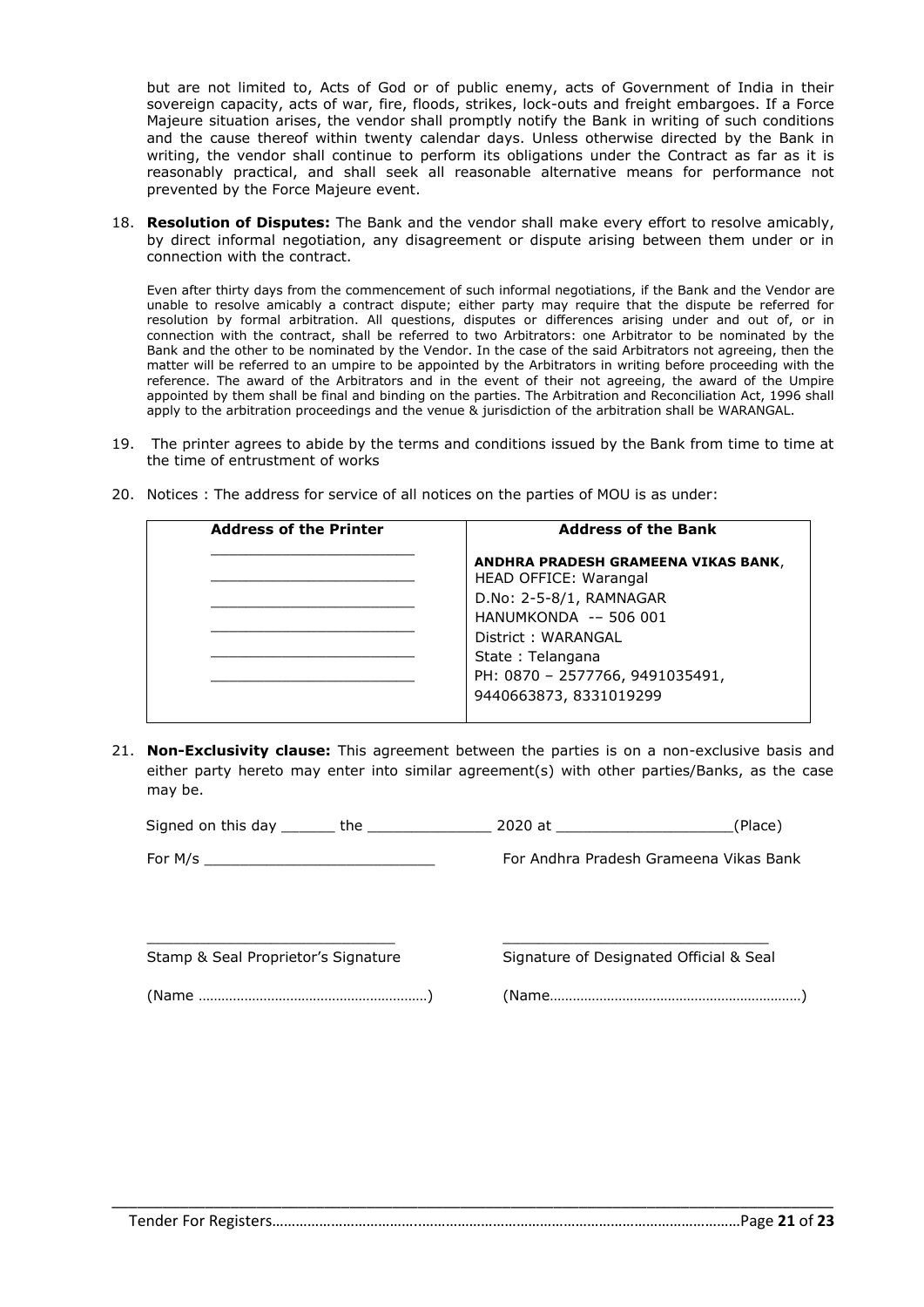but are not limited to, Acts of God or of public enemy, acts of Government of India in their sovereign capacity, acts of war, fire, floods, strikes, lock-outs and freight embargoes. If a Force Majeure situation arises, the vendor shall promptly notify the Bank in writing of such conditions and the cause thereof within twenty calendar days. Unless otherwise directed by the Bank in writing, the vendor shall continue to perform its obligations under the Contract as far as it is reasonably practical, and shall seek all reasonable alternative means for performance not prevented by the Force Majeure event.

18. **Resolution of Disputes:** The Bank and the vendor shall make every effort to resolve amicably, by direct informal negotiation, any disagreement or dispute arising between them under or in connection with the contract.

Even after thirty days from the commencement of such informal negotiations, if the Bank and the Vendor are unable to resolve amicably a contract dispute; either party may require that the dispute be referred for resolution by formal arbitration. All questions, disputes or differences arising under and out of, or in connection with the contract, shall be referred to two Arbitrators: one Arbitrator to be nominated by the Bank and the other to be nominated by the Vendor. In the case of the said Arbitrators not agreeing, then the matter will be referred to an umpire to be appointed by the Arbitrators in writing before proceeding with the reference. The award of the Arbitrators and in the event of their not agreeing, the award of the Umpire appointed by them shall be final and binding on the parties. The Arbitration and Reconciliation Act, 1996 shall apply to the arbitration proceedings and the venue & jurisdiction of the arbitration shall be WARANGAL.

19. The printer agrees to abide by the terms and conditions issued by the Bank from time to time at the time of entrustment of works

| <b>Address of the Printer</b> | <b>Address of the Bank</b>                                          |
|-------------------------------|---------------------------------------------------------------------|
|                               | ANDHRA PRADESH GRAMEENA VIKAS BANK,<br><b>HEAD OFFICE: Warangal</b> |
|                               | D.No: 2-5-8/1, RAMNAGAR                                             |
|                               | HANUMKONDA -- 506 001                                               |
|                               | District: WARANGAL                                                  |
|                               | State: Telangana                                                    |
|                               | PH: 0870 - 2577766, 9491035491,<br>9440663873, 8331019299           |

20. Notices : The address for service of all notices on the parties of MOU is as under:

21. **Non-Exclusivity clause:** This agreement between the parties is on a non-exclusive basis and either party hereto may enter into similar agreement(s) with other parties/Banks, as the case may be.

| Signed on this day | *he. | (Place) |
|--------------------|------|---------|
|                    |      |         |

\_\_\_\_\_\_\_\_\_\_\_\_\_\_\_\_\_\_\_\_\_\_\_\_\_\_\_\_ \_\_\_\_\_\_\_\_\_\_\_\_\_\_\_\_\_\_\_\_\_\_\_\_\_\_\_\_\_\_

For M/s **France And Accord For Andhra Pradesh Grameena Vikas Bank** 

Stamp & Seal Proprietor's Signature Signature of Designated Official & Seal

(Name ……………………………………………………) (Name…………………………………………………………)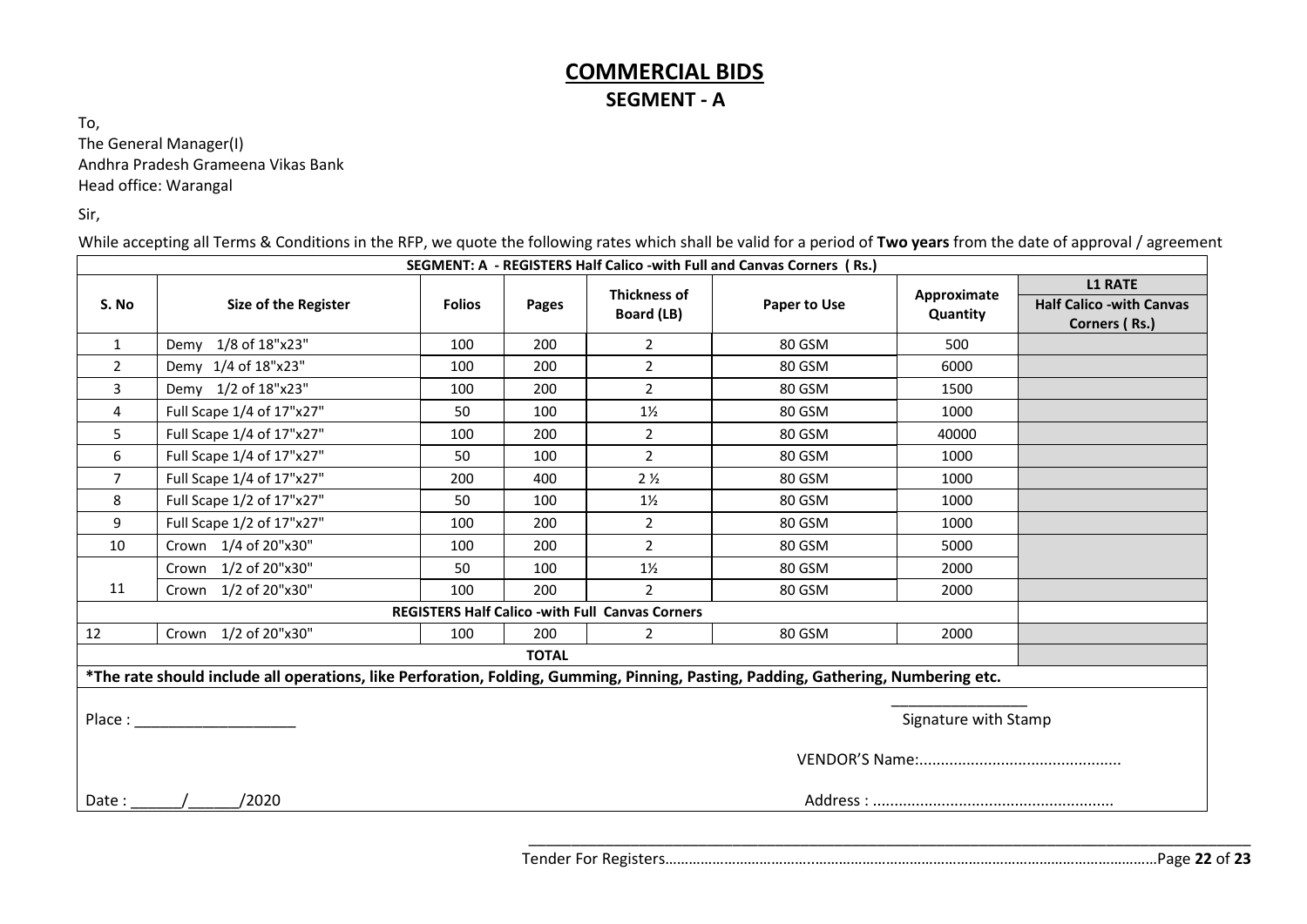# **COMMERCIAL BIDS SEGMENT - A**

To, The General Manager(I) Andhra Pradesh Grameena Vikas Bank Head office: Warangal

Sir,

While accepting all Terms & Conditions in the RFP, we quote the following rates which shall be valid for a period of **Two years** from the date of approval / agreement

| SEGMENT: A - REGISTERS Half Calico - with Full and Canvas Corners (Rs.)                                                           |                           |               |       |                                   |              |                         |                                                                    |
|-----------------------------------------------------------------------------------------------------------------------------------|---------------------------|---------------|-------|-----------------------------------|--------------|-------------------------|--------------------------------------------------------------------|
| S. No                                                                                                                             | Size of the Register      | <b>Folios</b> | Pages | <b>Thickness of</b><br>Board (LB) | Paper to Use | Approximate<br>Quantity | <b>L1 RATE</b><br><b>Half Calico -with Canvas</b><br>Corners (Rs.) |
| $\mathbf{1}$                                                                                                                      | Demy 1/8 of 18"x23"       | 100           | 200   | $\overline{2}$                    | 80 GSM       | 500                     |                                                                    |
| $\overline{2}$                                                                                                                    | Demy 1/4 of 18"x23"       | 100           | 200   | $\overline{2}$                    | 80 GSM       | 6000                    |                                                                    |
| 3                                                                                                                                 | Demy 1/2 of 18"x23"       | 100           | 200   | $\overline{2}$                    | 80 GSM       | 1500                    |                                                                    |
| 4                                                                                                                                 | Full Scape 1/4 of 17"x27" | 50            | 100   | $1\frac{1}{2}$                    | 80 GSM       | 1000                    |                                                                    |
| 5                                                                                                                                 | Full Scape 1/4 of 17"x27" | 100           | 200   | $\overline{2}$                    | 80 GSM       | 40000                   |                                                                    |
| 6                                                                                                                                 | Full Scape 1/4 of 17"x27" | 50            | 100   | $\overline{2}$                    | 80 GSM       | 1000                    |                                                                    |
| $\overline{7}$                                                                                                                    | Full Scape 1/4 of 17"x27" | 200           | 400   | 2 <sub>2</sub>                    | 80 GSM       | 1000                    |                                                                    |
| 8                                                                                                                                 | Full Scape 1/2 of 17"x27" | 50            | 100   | $1\frac{1}{2}$                    | 80 GSM       | 1000                    |                                                                    |
| 9                                                                                                                                 | Full Scape 1/2 of 17"x27" | 100           | 200   | $\overline{2}$                    | 80 GSM       | 1000                    |                                                                    |
| 10                                                                                                                                | Crown 1/4 of 20"x30"      | 100           | 200   | $\overline{2}$                    | 80 GSM       | 5000                    |                                                                    |
|                                                                                                                                   | Crown 1/2 of 20"x30"      | 50            | 100   | $1\frac{1}{2}$                    | 80 GSM       | 2000                    |                                                                    |
| 11                                                                                                                                | Crown 1/2 of 20"x30"      | 100           | 200   | $\overline{2}$                    | 80 GSM       | 2000                    |                                                                    |
| <b>REGISTERS Half Calico -with Full Canvas Corners</b>                                                                            |                           |               |       |                                   |              |                         |                                                                    |
| 12                                                                                                                                | Crown 1/2 of 20"x30"      | 100           | 200   | $\overline{2}$                    | 80 GSM       | 2000                    |                                                                    |
| <b>TOTAL</b>                                                                                                                      |                           |               |       |                                   |              |                         |                                                                    |
| *The rate should include all operations, like Perforation, Folding, Gumming, Pinning, Pasting, Padding, Gathering, Numbering etc. |                           |               |       |                                   |              |                         |                                                                    |
| Signature with Stamp                                                                                                              |                           |               |       |                                   |              |                         |                                                                    |
|                                                                                                                                   |                           |               |       |                                   |              |                         |                                                                    |
| Date :                                                                                                                            | /2020                     |               |       |                                   |              |                         |                                                                    |